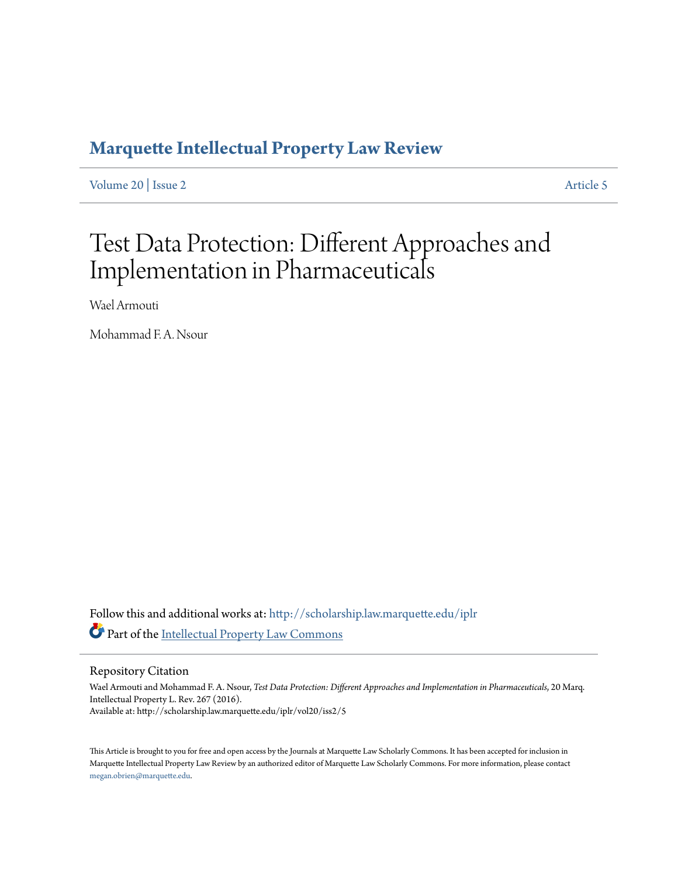# **[Marquette Intellectual Property Law Review](http://scholarship.law.marquette.edu/iplr?utm_source=scholarship.law.marquette.edu%2Fiplr%2Fvol20%2Fiss2%2F5&utm_medium=PDF&utm_campaign=PDFCoverPages)**

[Volume 20](http://scholarship.law.marquette.edu/iplr/vol20?utm_source=scholarship.law.marquette.edu%2Fiplr%2Fvol20%2Fiss2%2F5&utm_medium=PDF&utm_campaign=PDFCoverPages) | [Issue 2](http://scholarship.law.marquette.edu/iplr/vol20/iss2?utm_source=scholarship.law.marquette.edu%2Fiplr%2Fvol20%2Fiss2%2F5&utm_medium=PDF&utm_campaign=PDFCoverPages) [Article 5](http://scholarship.law.marquette.edu/iplr/vol20/iss2/5?utm_source=scholarship.law.marquette.edu%2Fiplr%2Fvol20%2Fiss2%2F5&utm_medium=PDF&utm_campaign=PDFCoverPages)

# Test Data Protection: Different Approaches and Implementation in Pharmaceuticals

Wael Armouti

Mohammad F. A. Nsour

Follow this and additional works at: [http://scholarship.law.marquette.edu/iplr](http://scholarship.law.marquette.edu/iplr?utm_source=scholarship.law.marquette.edu%2Fiplr%2Fvol20%2Fiss2%2F5&utm_medium=PDF&utm_campaign=PDFCoverPages) Part of the [Intellectual Property Law Commons](https://network.bepress.com/hgg/discipline/896?utm_source=scholarship.law.marquette.edu%2Fiplr%2Fvol20%2Fiss2%2F5&utm_medium=PDF&utm_campaign=PDFCoverPages)

Repository Citation

Wael Armouti and Mohammad F. A. Nsour, *Test Data Protection: Different Approaches and Implementation in Pharmaceuticals*, 20 Marq. Intellectual Property L. Rev. 267 (2016). Available at: http://scholarship.law.marquette.edu/iplr/vol20/iss2/5

This Article is brought to you for free and open access by the Journals at Marquette Law Scholarly Commons. It has been accepted for inclusion in Marquette Intellectual Property Law Review by an authorized editor of Marquette Law Scholarly Commons. For more information, please contact [megan.obrien@marquette.edu.](mailto:megan.obrien@marquette.edu)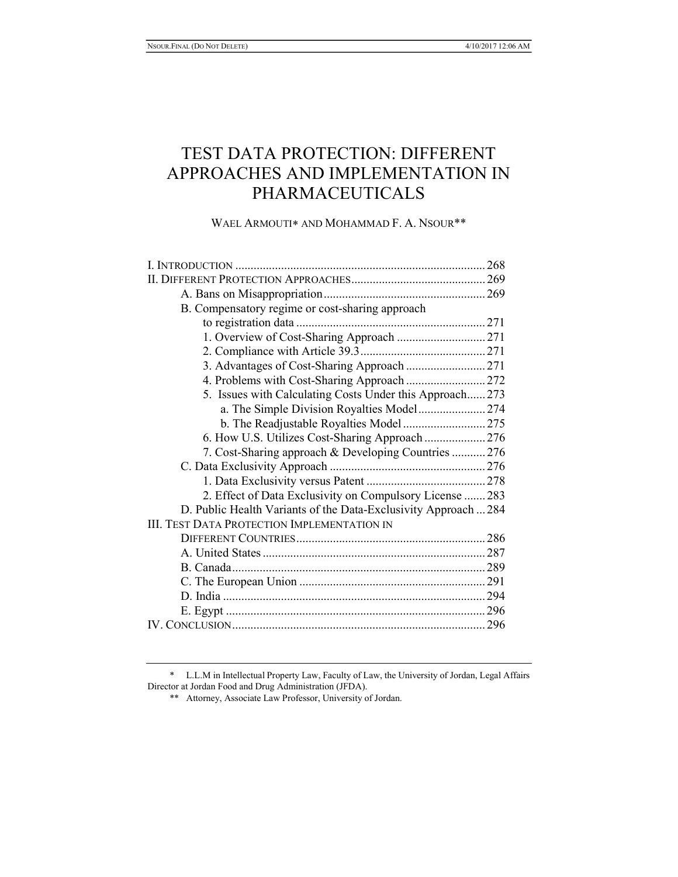# TEST DATA PROTECTION: DIFFERENT APPROACHES AND IMPLEMENTATION IN PHARMACEUTICALS

WAEL ARMOUTI\* AND MOHAMMAD F. A. NSOUR\*\*

| B. Compensatory regime or cost-sharing approach                 |  |
|-----------------------------------------------------------------|--|
|                                                                 |  |
|                                                                 |  |
|                                                                 |  |
|                                                                 |  |
| 4. Problems with Cost-Sharing Approach  272                     |  |
| 5. Issues with Calculating Costs Under this Approach 273        |  |
| a. The Simple Division Royalties Model274                       |  |
|                                                                 |  |
| 6. How U.S. Utilizes Cost-Sharing Approach  276                 |  |
| 7. Cost-Sharing approach & Developing Countries  276            |  |
|                                                                 |  |
|                                                                 |  |
| 2. Effect of Data Exclusivity on Compulsory License  283        |  |
| D. Public Health Variants of the Data-Exclusivity Approach  284 |  |
| <b>III. TEST DATA PROTECTION IMPLEMENTATION IN</b>              |  |
|                                                                 |  |
|                                                                 |  |
|                                                                 |  |
|                                                                 |  |
|                                                                 |  |
|                                                                 |  |
|                                                                 |  |

 <sup>\*</sup> L.L.M in Intellectual Property Law, Faculty of Law, the University of Jordan, Legal Affairs Director at Jordan Food and Drug Administration (JFDA).

 <sup>\*\*</sup> Attorney, Associate Law Professor, University of Jordan.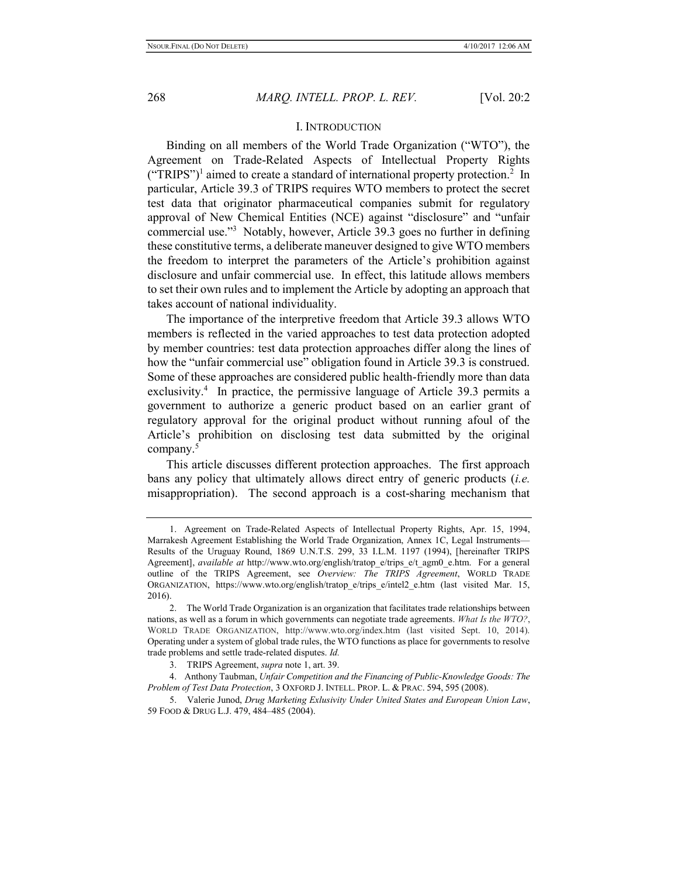#### I. INTRODUCTION

Binding on all members of the World Trade Organization ("WTO"), the Agreement on Trade-Related Aspects of Intellectual Property Rights  $("TRIPS")<sup>1</sup>$  aimed to create a standard of international property protection.<sup>2</sup> In particular, Article 39.3 of TRIPS requires WTO members to protect the secret test data that originator pharmaceutical companies submit for regulatory approval of New Chemical Entities (NCE) against "disclosure" and "unfair commercial use."<sup>3</sup> Notably, however, Article 39.3 goes no further in defining these constitutive terms, a deliberate maneuver designed to give WTO members the freedom to interpret the parameters of the Article's prohibition against disclosure and unfair commercial use. In effect, this latitude allows members to set their own rules and to implement the Article by adopting an approach that takes account of national individuality.

The importance of the interpretive freedom that Article 39.3 allows WTO members is reflected in the varied approaches to test data protection adopted by member countries: test data protection approaches differ along the lines of how the "unfair commercial use" obligation found in Article 39.3 is construed. Some of these approaches are considered public health-friendly more than data exclusivity.<sup>4</sup> In practice, the permissive language of Article 39.3 permits a government to authorize a generic product based on an earlier grant of regulatory approval for the original product without running afoul of the Article's prohibition on disclosing test data submitted by the original company.<sup>5</sup>

This article discusses different protection approaches. The first approach bans any policy that ultimately allows direct entry of generic products *(i.e.*) misappropriation). The second approach is a cost-sharing mechanism that

<sup>1.</sup> Agreement on Trade-Related Aspects of Intellectual Property Rights, Apr. 15, 1994, Marrakesh Agreement Establishing the World Trade Organization, Annex 1C, Legal Instruments— Results of the Uruguay Round, 1869 U.N.T.S. 299, 33 I.L.M. 1197 (1994), [hereinafter TRIPS Agreement], *available at* http://www.wto.org/english/tratop\_e/trips\_e/t\_agm0\_e.htm. For a general outline of the TRIPS Agreement, see Overview: The TRIPS Agreement, WORLD TRADE ORGANIZATION, https://www.wto.org/english/tratop\_e/trips\_e/intel2\_e.htm (last visited Mar. 15, 2016).

<sup>2.</sup> The World Trade Organization is an organization that facilitates trade relationships between nations, as well as a forum in which governments can negotiate trade agreements. What Is the WTO?, WORLD TRADE ORGANIZATION, http://www.wto.org/index.htm (last visited Sept. 10, 2014). Operating under a system of global trade rules, the WTO functions as place for governments to resolve trade problems and settle trade-related disputes. Id.

<sup>3.</sup> TRIPS Agreement, supra note 1, art. 39.

<sup>4.</sup> Anthony Taubman, Unfair Competition and the Financing of Public-Knowledge Goods: The Problem of Test Data Protection, 3 OXFORD J. INTELL. PROP. L. & PRAC. 594, 595 (2008).

<sup>5.</sup> Valerie Junod, Drug Marketing Exlusivity Under United States and European Union Law, 59 FOOD & DRUG L.J. 479, 484–485 (2004).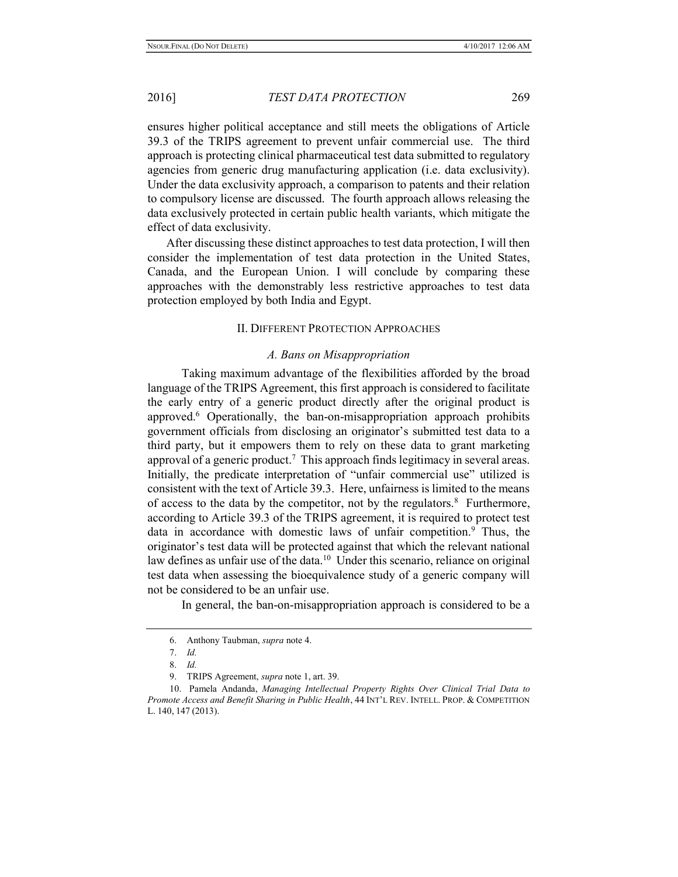ensures higher political acceptance and still meets the obligations of Article 39.3 of the TRIPS agreement to prevent unfair commercial use. The third approach is protecting clinical pharmaceutical test data submitted to regulatory agencies from generic drug manufacturing application (i.e. data exclusivity). Under the data exclusivity approach, a comparison to patents and their relation to compulsory license are discussed. The fourth approach allows releasing the data exclusively protected in certain public health variants, which mitigate the effect of data exclusivity.

After discussing these distinct approaches to test data protection, I will then consider the implementation of test data protection in the United States, Canada, and the European Union. I will conclude by comparing these approaches with the demonstrably less restrictive approaches to test data protection employed by both India and Egypt.

#### II. DIFFERENT PROTECTION APPROACHES

#### A. Bans on Misappropriation

 Taking maximum advantage of the flexibilities afforded by the broad language of the TRIPS Agreement, this first approach is considered to facilitate the early entry of a generic product directly after the original product is approved.<sup>6</sup> Operationally, the ban-on-misappropriation approach prohibits government officials from disclosing an originator's submitted test data to a third party, but it empowers them to rely on these data to grant marketing approval of a generic product.<sup>7</sup> This approach finds legitimacy in several areas. Initially, the predicate interpretation of "unfair commercial use" utilized is consistent with the text of Article 39.3. Here, unfairness is limited to the means of access to the data by the competitor, not by the regulators.<sup>8</sup> Furthermore, according to Article 39.3 of the TRIPS agreement, it is required to protect test data in accordance with domestic laws of unfair competition.<sup>9</sup> Thus, the originator's test data will be protected against that which the relevant national law defines as unfair use of the data.<sup>10</sup> Under this scenario, reliance on original test data when assessing the bioequivalence study of a generic company will not be considered to be an unfair use.

In general, the ban-on-misappropriation approach is considered to be a

<sup>6.</sup> Anthony Taubman, supra note 4.

<sup>7.</sup> Id.

<sup>8.</sup> Id.

<sup>9.</sup> TRIPS Agreement, *supra* note 1, art. 39.

<sup>10.</sup> Pamela Andanda, Managing Intellectual Property Rights Over Clinical Trial Data to Promote Access and Benefit Sharing in Public Health, 44 INT'L REV. INTELL. PROP. & COMPETITION L. 140, 147 (2013).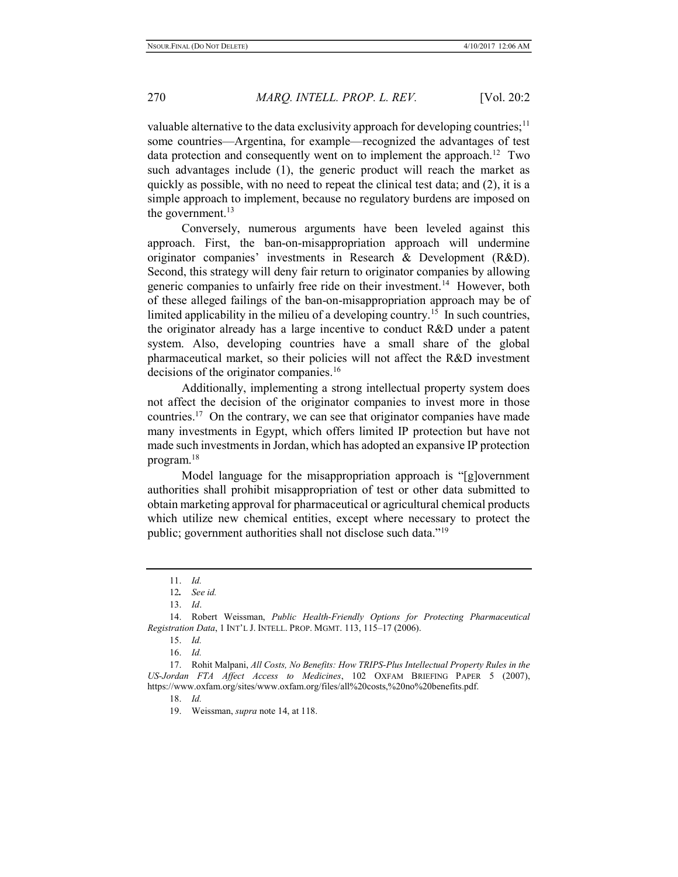valuable alternative to the data exclusivity approach for developing countries;<sup>11</sup> some countries—Argentina, for example—recognized the advantages of test data protection and consequently went on to implement the approach.<sup>12</sup> Two such advantages include (1), the generic product will reach the market as quickly as possible, with no need to repeat the clinical test data; and (2), it is a simple approach to implement, because no regulatory burdens are imposed on the government. $13$ 

 Conversely, numerous arguments have been leveled against this approach. First, the ban-on-misappropriation approach will undermine originator companies' investments in Research & Development (R&D). Second, this strategy will deny fair return to originator companies by allowing generic companies to unfairly free ride on their investment.<sup>14</sup> However, both of these alleged failings of the ban-on-misappropriation approach may be of limited applicability in the milieu of a developing country.<sup>15</sup> In such countries, the originator already has a large incentive to conduct R&D under a patent system. Also, developing countries have a small share of the global pharmaceutical market, so their policies will not affect the R&D investment decisions of the originator companies.<sup>16</sup>

 Additionally, implementing a strong intellectual property system does not affect the decision of the originator companies to invest more in those countries.<sup>17</sup> On the contrary, we can see that originator companies have made many investments in Egypt, which offers limited IP protection but have not made such investments in Jordan, which has adopted an expansive IP protection program.<sup>18</sup>

 Model language for the misappropriation approach is "[g]overnment authorities shall prohibit misappropriation of test or other data submitted to obtain marketing approval for pharmaceutical or agricultural chemical products which utilize new chemical entities, except where necessary to protect the public; government authorities shall not disclose such data."<sup>19</sup>

<sup>11.</sup> Id.

<sup>12</sup>. See id.

<sup>13.</sup> Id.

<sup>14.</sup> Robert Weissman, Public Health-Friendly Options for Protecting Pharmaceutical Registration Data, 1 INT'L J. INTELL. PROP. MGMT. 113, 115–17 (2006).

<sup>15.</sup> Id.

<sup>16.</sup> Id.

<sup>17.</sup> Rohit Malpani, All Costs, No Benefits: How TRIPS-Plus Intellectual Property Rules in the US-Jordan FTA Affect Access to Medicines, 102 OXFAM BRIEFING PAPER 5 (2007), https://www.oxfam.org/sites/www.oxfam.org/files/all%20costs,%20no%20benefits.pdf.

<sup>18.</sup> Id.

<sup>19.</sup> Weissman, supra note 14, at 118.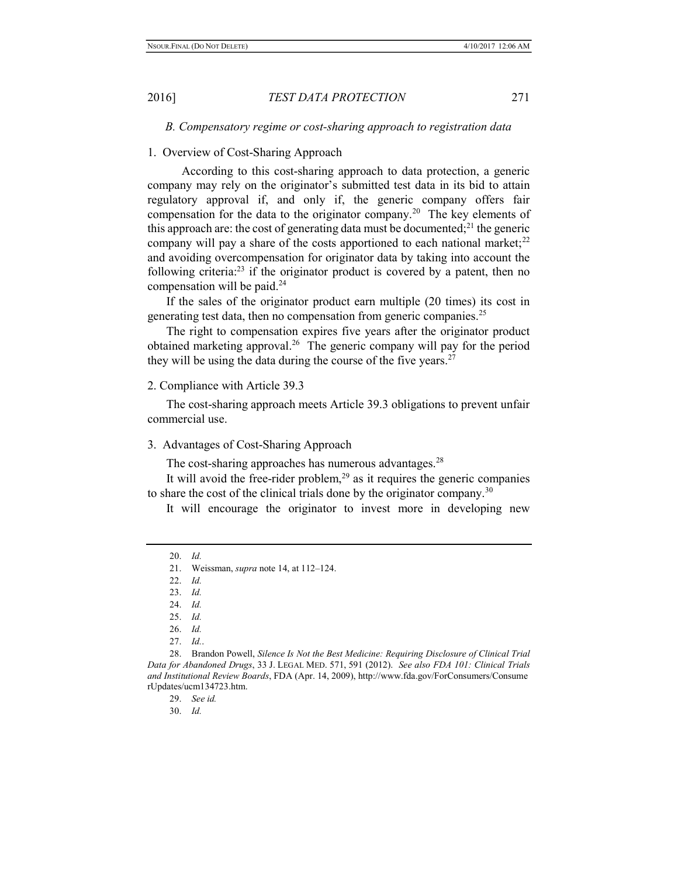B. Compensatory regime or cost-sharing approach to registration data

#### 1. Overview of Cost-Sharing Approach

 According to this cost-sharing approach to data protection, a generic company may rely on the originator's submitted test data in its bid to attain regulatory approval if, and only if, the generic company offers fair compensation for the data to the originator company.<sup>20</sup> The key elements of this approach are: the cost of generating data must be documented;<sup>21</sup> the generic company will pay a share of the costs apportioned to each national market;<sup>22</sup> and avoiding overcompensation for originator data by taking into account the following criteria:<sup>23</sup> if the originator product is covered by a patent, then no compensation will be paid.<sup>24</sup>

If the sales of the originator product earn multiple (20 times) its cost in generating test data, then no compensation from generic companies.<sup>25</sup>

The right to compensation expires five years after the originator product obtained marketing approval.<sup>26</sup> The generic company will pay for the period they will be using the data during the course of the five years. $27$ 

# 2. Compliance with Article 39.3

The cost-sharing approach meets Article 39.3 obligations to prevent unfair commercial use.

3. Advantages of Cost-Sharing Approach

The cost-sharing approaches has numerous advantages.<sup>28</sup>

It will avoid the free-rider problem, $2<sup>9</sup>$  as it requires the generic companies to share the cost of the clinical trials done by the originator company.<sup>30</sup>

It will encourage the originator to invest more in developing new

27. Id..

<sup>20.</sup> Id.

<sup>21.</sup> Weissman, supra note 14, at 112–124.

<sup>22.</sup> Id.

<sup>23.</sup> Id.

<sup>24.</sup> Id.

<sup>25.</sup> Id.

<sup>26.</sup> Id.

<sup>28.</sup> Brandon Powell, Silence Is Not the Best Medicine: Requiring Disclosure of Clinical Trial Data for Abandoned Drugs, 33 J. LEGAL MED. 571, 591 (2012). See also FDA 101: Clinical Trials and Institutional Review Boards, FDA (Apr. 14, 2009), http://www.fda.gov/ForConsumers/Consume rUpdates/ucm134723.htm.

<sup>29.</sup> See id.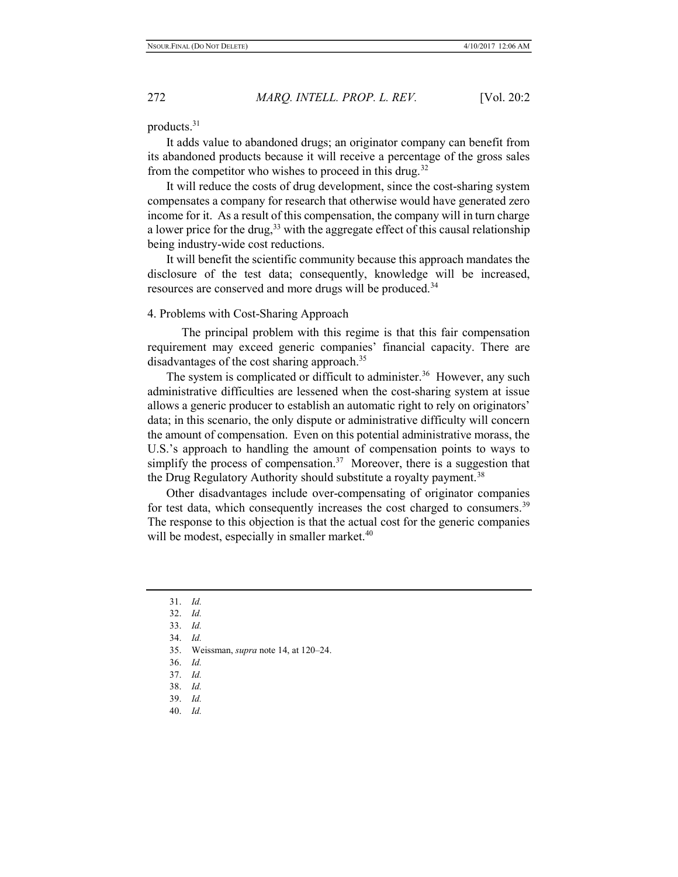products.<sup>31</sup>

It adds value to abandoned drugs; an originator company can benefit from its abandoned products because it will receive a percentage of the gross sales from the competitor who wishes to proceed in this drug.<sup>32</sup>

It will reduce the costs of drug development, since the cost-sharing system compensates a company for research that otherwise would have generated zero income for it. As a result of this compensation, the company will in turn charge a lower price for the drug,  $33$  with the aggregate effect of this causal relationship being industry-wide cost reductions.

It will benefit the scientific community because this approach mandates the disclosure of the test data; consequently, knowledge will be increased, resources are conserved and more drugs will be produced.<sup>34</sup>

#### 4. Problems with Cost-Sharing Approach

 The principal problem with this regime is that this fair compensation requirement may exceed generic companies' financial capacity. There are disadvantages of the cost sharing approach.<sup>35</sup>

The system is complicated or difficult to administer.<sup>36</sup> However, any such administrative difficulties are lessened when the cost-sharing system at issue allows a generic producer to establish an automatic right to rely on originators' data; in this scenario, the only dispute or administrative difficulty will concern the amount of compensation. Even on this potential administrative morass, the U.S.'s approach to handling the amount of compensation points to ways to simplify the process of compensation.<sup>37</sup> Moreover, there is a suggestion that the Drug Regulatory Authority should substitute a royalty payment.<sup>38</sup>

Other disadvantages include over-compensating of originator companies for test data, which consequently increases the cost charged to consumers.<sup>39</sup> The response to this objection is that the actual cost for the generic companies will be modest, especially in smaller market.<sup>40</sup>

- 35. Weissman, supra note 14, at 120–24.
- 36. Id.

<sup>31.</sup> Id.

<sup>32.</sup> Id.

<sup>33.</sup> Id.

<sup>34.</sup> Id.

<sup>37.</sup> Id.

<sup>38.</sup> Id.

<sup>39.</sup> Id.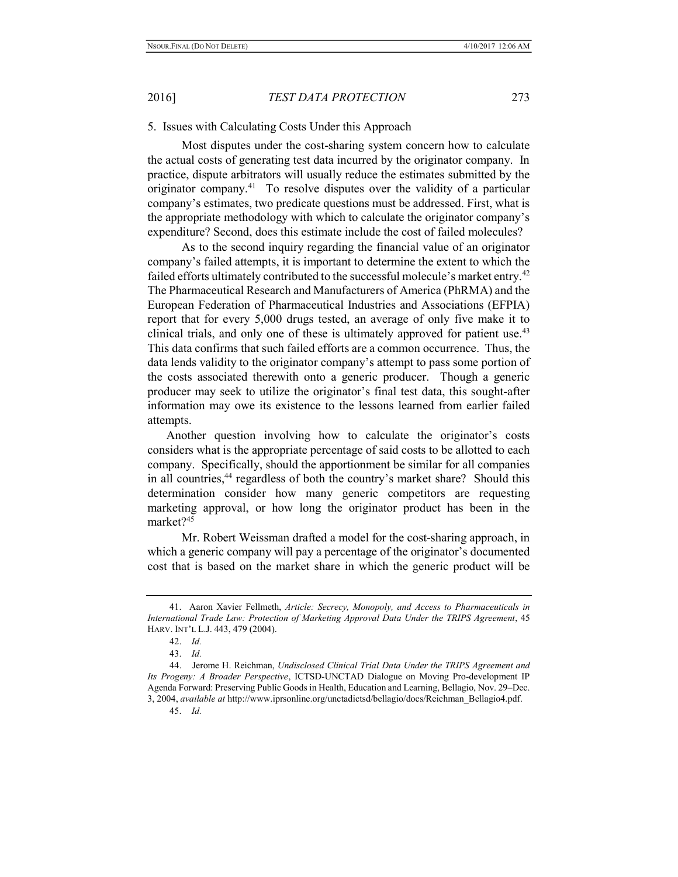#### 5. Issues with Calculating Costs Under this Approach

 Most disputes under the cost-sharing system concern how to calculate the actual costs of generating test data incurred by the originator company. In practice, dispute arbitrators will usually reduce the estimates submitted by the originator company.<sup>41</sup> To resolve disputes over the validity of a particular company's estimates, two predicate questions must be addressed. First, what is the appropriate methodology with which to calculate the originator company's expenditure? Second, does this estimate include the cost of failed molecules?

 As to the second inquiry regarding the financial value of an originator company's failed attempts, it is important to determine the extent to which the failed efforts ultimately contributed to the successful molecule's market entry.<sup>42</sup> The Pharmaceutical Research and Manufacturers of America (PhRMA) and the European Federation of Pharmaceutical Industries and Associations (EFPIA) report that for every 5,000 drugs tested, an average of only five make it to clinical trials, and only one of these is ultimately approved for patient use.<sup>43</sup> This data confirms that such failed efforts are a common occurrence. Thus, the data lends validity to the originator company's attempt to pass some portion of the costs associated therewith onto a generic producer. Though a generic producer may seek to utilize the originator's final test data, this sought-after information may owe its existence to the lessons learned from earlier failed attempts.

Another question involving how to calculate the originator's costs considers what is the appropriate percentage of said costs to be allotted to each company. Specifically, should the apportionment be similar for all companies in all countries,<sup>44</sup> regardless of both the country's market share? Should this determination consider how many generic competitors are requesting marketing approval, or how long the originator product has been in the market?<sup>45</sup>

 Mr. Robert Weissman drafted a model for the cost-sharing approach, in which a generic company will pay a percentage of the originator's documented cost that is based on the market share in which the generic product will be

<sup>41.</sup> Aaron Xavier Fellmeth, Article: Secrecy, Monopoly, and Access to Pharmaceuticals in International Trade Law: Protection of Marketing Approval Data Under the TRIPS Agreement, 45 HARV. INT'L L.J. 443, 479 (2004).

<sup>42.</sup> Id.

<sup>43.</sup> Id.

<sup>44.</sup> Jerome H. Reichman, Undisclosed Clinical Trial Data Under the TRIPS Agreement and Its Progeny: A Broader Perspective, ICTSD-UNCTAD Dialogue on Moving Pro-development IP Agenda Forward: Preserving Public Goods in Health, Education and Learning, Bellagio, Nov. 29–Dec. 3, 2004, available at http://www.iprsonline.org/unctadictsd/bellagio/docs/Reichman\_Bellagio4.pdf.

<sup>45.</sup> Id.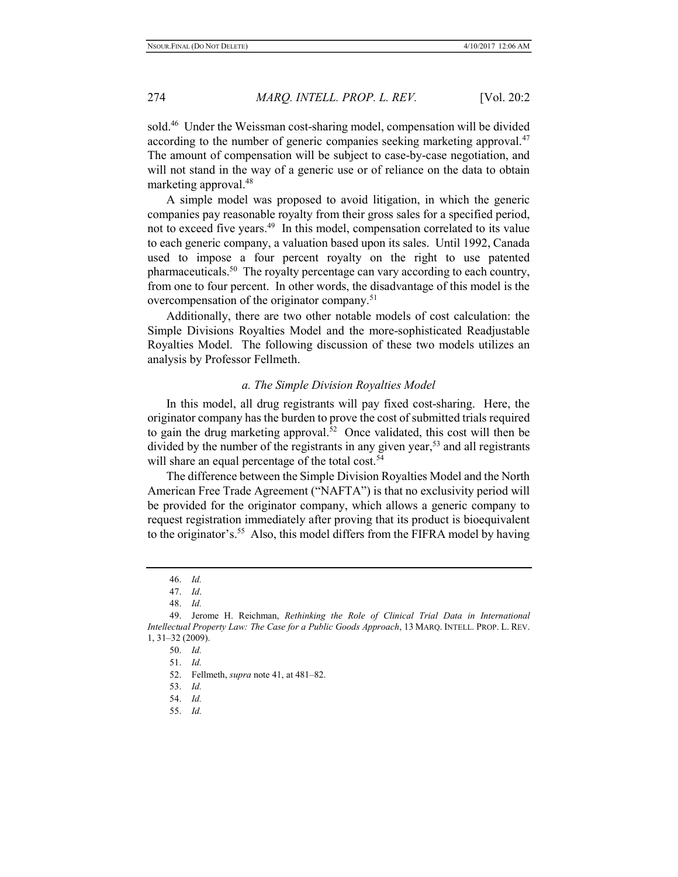sold.<sup>46</sup> Under the Weissman cost-sharing model, compensation will be divided according to the number of generic companies seeking marketing approval.<sup>47</sup> The amount of compensation will be subject to case-by-case negotiation, and will not stand in the way of a generic use or of reliance on the data to obtain marketing approval.<sup>48</sup>

A simple model was proposed to avoid litigation, in which the generic companies pay reasonable royalty from their gross sales for a specified period, not to exceed five years.<sup>49</sup> In this model, compensation correlated to its value to each generic company, a valuation based upon its sales. Until 1992, Canada used to impose a four percent royalty on the right to use patented pharmaceuticals.<sup>50</sup> The royalty percentage can vary according to each country, from one to four percent. In other words, the disadvantage of this model is the overcompensation of the originator company.<sup>51</sup>

Additionally, there are two other notable models of cost calculation: the Simple Divisions Royalties Model and the more-sophisticated Readjustable Royalties Model. The following discussion of these two models utilizes an analysis by Professor Fellmeth.

#### a. The Simple Division Royalties Model

In this model, all drug registrants will pay fixed cost-sharing. Here, the originator company has the burden to prove the cost of submitted trials required to gain the drug marketing approval.<sup>52</sup> Once validated, this cost will then be divided by the number of the registrants in any given year,<sup>53</sup> and all registrants will share an equal percentage of the total cost.<sup>54</sup>

The difference between the Simple Division Royalties Model and the North American Free Trade Agreement ("NAFTA") is that no exclusivity period will be provided for the originator company, which allows a generic company to request registration immediately after proving that its product is bioequivalent to the originator's.<sup>55</sup> Also, this model differs from the FIFRA model by having

<sup>46.</sup> Id.

<sup>47.</sup> Id.

<sup>48.</sup> Id.

<sup>49.</sup> Jerome H. Reichman, Rethinking the Role of Clinical Trial Data in International Intellectual Property Law: The Case for a Public Goods Approach, 13 MARQ. INTELL. PROP. L. REV. 1, 31–32 (2009).

<sup>50.</sup> Id.

<sup>51.</sup> Id.

<sup>52.</sup> Fellmeth, supra note 41, at 481–82.

<sup>53.</sup> Id.

<sup>54.</sup> Id.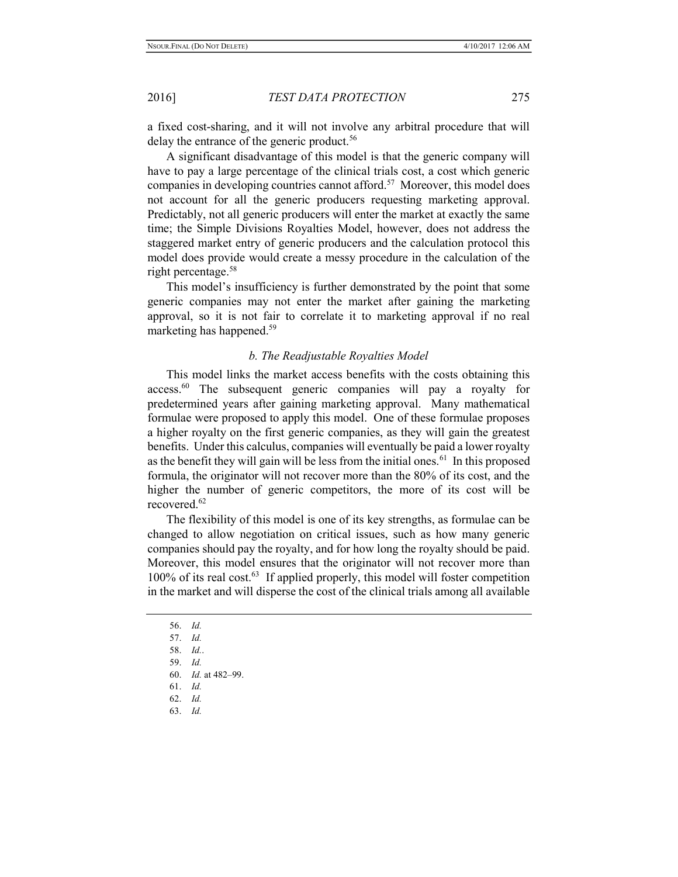a fixed cost-sharing, and it will not involve any arbitral procedure that will delay the entrance of the generic product.<sup>56</sup>

A significant disadvantage of this model is that the generic company will have to pay a large percentage of the clinical trials cost, a cost which generic companies in developing countries cannot afford.<sup>57</sup> Moreover, this model does not account for all the generic producers requesting marketing approval. Predictably, not all generic producers will enter the market at exactly the same time; the Simple Divisions Royalties Model, however, does not address the staggered market entry of generic producers and the calculation protocol this model does provide would create a messy procedure in the calculation of the right percentage.<sup>58</sup>

This model's insufficiency is further demonstrated by the point that some generic companies may not enter the market after gaining the marketing approval, so it is not fair to correlate it to marketing approval if no real marketing has happened.<sup>59</sup>

#### b. The Readjustable Royalties Model

This model links the market access benefits with the costs obtaining this access.<sup>60</sup> The subsequent generic companies will pay a royalty for predetermined years after gaining marketing approval. Many mathematical formulae were proposed to apply this model. One of these formulae proposes a higher royalty on the first generic companies, as they will gain the greatest benefits. Under this calculus, companies will eventually be paid a lower royalty as the benefit they will gain will be less from the initial ones.<sup>61</sup> In this proposed formula, the originator will not recover more than the 80% of its cost, and the higher the number of generic competitors, the more of its cost will be recovered.<sup>62</sup>

The flexibility of this model is one of its key strengths, as formulae can be changed to allow negotiation on critical issues, such as how many generic companies should pay the royalty, and for how long the royalty should be paid. Moreover, this model ensures that the originator will not recover more than 100% of its real cost.<sup>63</sup> If applied properly, this model will foster competition in the market and will disperse the cost of the clinical trials among all available

- 60. Id. at 482–99.
- 61. Id.
- 62. Id.
- 63. Id.

<sup>56.</sup> Id.

<sup>57.</sup> Id.

<sup>58.</sup> Id..

<sup>59.</sup> Id.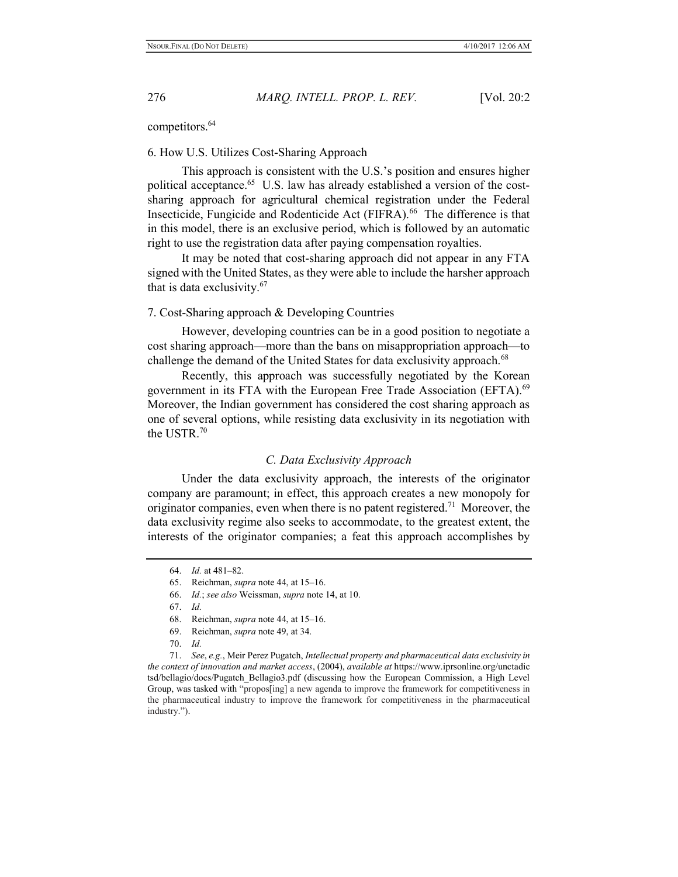competitors.<sup>64</sup>

#### 6. How U.S. Utilizes Cost-Sharing Approach

 This approach is consistent with the U.S.'s position and ensures higher political acceptance.<sup>65</sup> U.S. law has already established a version of the costsharing approach for agricultural chemical registration under the Federal Insecticide, Fungicide and Rodenticide Act (FIFRA).<sup>66</sup> The difference is that in this model, there is an exclusive period, which is followed by an automatic right to use the registration data after paying compensation royalties.

 It may be noted that cost-sharing approach did not appear in any FTA signed with the United States, as they were able to include the harsher approach that is data exclusivity.<sup>67</sup>

#### 7. Cost-Sharing approach & Developing Countries

 However, developing countries can be in a good position to negotiate a cost sharing approach—more than the bans on misappropriation approach—to challenge the demand of the United States for data exclusivity approach.<sup>68</sup>

 Recently, this approach was successfully negotiated by the Korean government in its FTA with the European Free Trade Association (EFTA).<sup>69</sup> Moreover, the Indian government has considered the cost sharing approach as one of several options, while resisting data exclusivity in its negotiation with the USTR.<sup>70</sup>

# C. Data Exclusivity Approach

 Under the data exclusivity approach, the interests of the originator company are paramount; in effect, this approach creates a new monopoly for originator companies, even when there is no patent registered.<sup>71</sup> Moreover, the data exclusivity regime also seeks to accommodate, to the greatest extent, the interests of the originator companies; a feat this approach accomplishes by

68. Reichman, supra note 44, at 15–16.

70. Id.

71. See, e.g., Meir Perez Pugatch, Intellectual property and pharmaceutical data exclusivity in the context of innovation and market access, (2004), available at https://www.iprsonline.org/unctadic tsd/bellagio/docs/Pugatch\_Bellagio3.pdf (discussing how the European Commission, a High Level Group, was tasked with "propos[ing] a new agenda to improve the framework for competitiveness in the pharmaceutical industry to improve the framework for competitiveness in the pharmaceutical industry.").

<sup>64.</sup> Id. at 481–82.

<sup>65.</sup> Reichman, supra note 44, at 15–16.

<sup>66.</sup> Id.; see also Weissman, supra note 14, at 10.

<sup>67.</sup> Id.

<sup>69.</sup> Reichman, supra note 49, at 34.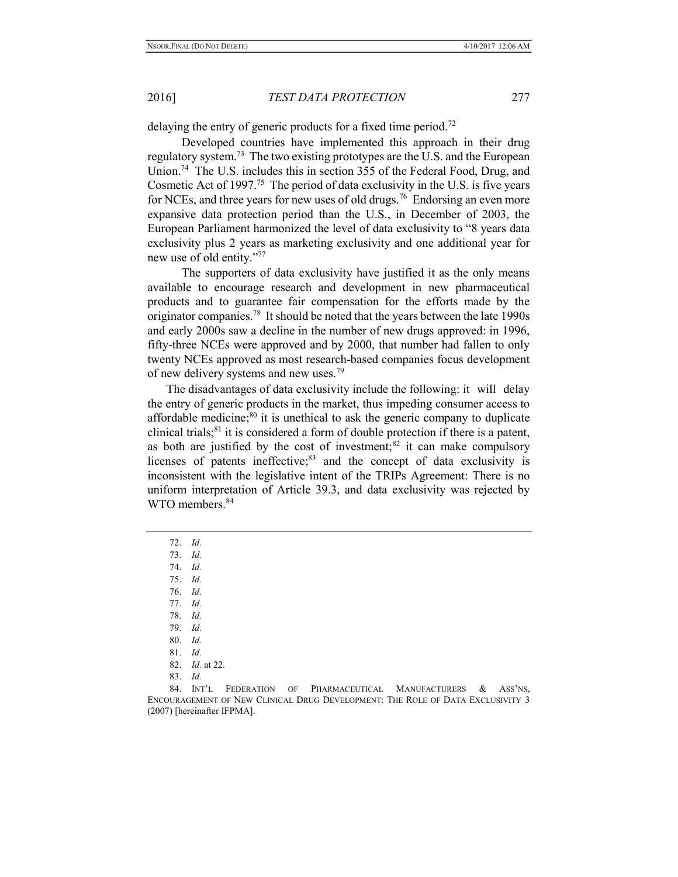delaying the entry of generic products for a fixed time period.<sup>72</sup>

 Developed countries have implemented this approach in their drug regulatory system.<sup>73</sup> The two existing prototypes are the U.S. and the European Union.<sup>74</sup> The U.S. includes this in section 355 of the Federal Food, Drug, and Cosmetic Act of 1997.<sup>75</sup> The period of data exclusivity in the U.S. is five years for NCEs, and three years for new uses of old drugs.<sup>76</sup> Endorsing an even more expansive data protection period than the U.S., in December of 2003, the European Parliament harmonized the level of data exclusivity to "8 years data exclusivity plus 2 years as marketing exclusivity and one additional year for new use of old entity."<sup>77</sup>

 The supporters of data exclusivity have justified it as the only means available to encourage research and development in new pharmaceutical products and to guarantee fair compensation for the efforts made by the originator companies.<sup>78</sup> It should be noted that the years between the late 1990s and early 2000s saw a decline in the number of new drugs approved: in 1996, fifty-three NCEs were approved and by 2000, that number had fallen to only twenty NCEs approved as most research-based companies focus development of new delivery systems and new uses.<sup>79</sup>

The disadvantages of data exclusivity include the following: it will delay the entry of generic products in the market, thus impeding consumer access to affordable medicine; $80$  it is unethical to ask the generic company to duplicate clinical trials;<sup>81</sup> it is considered a form of double protection if there is a patent, as both are justified by the cost of investment; $82$  it can make compulsory licenses of patents ineffective; $83$  and the concept of data exclusivity is inconsistent with the legislative intent of the TRIPs Agreement: There is no uniform interpretation of Article 39.3, and data exclusivity was rejected by WTO members.<sup>84</sup>

75. Id.

78. Id.

<sup>72.</sup> Id.

<sup>73.</sup> Id.

<sup>74.</sup> Id.

<sup>76.</sup> Id.

<sup>77.</sup> Id.

<sup>79.</sup> Id.

<sup>80.</sup> Id.

<sup>81.</sup> Id.

<sup>82.</sup> Id. at 22.

<sup>84.</sup> INT'L FEDERATION OF PHARMACEUTICAL MANUFACTURERS & ASS'NS, ENCOURAGEMENT OF NEW CLINICAL DRUG DEVELOPMENT: THE ROLE OF DATA EXCLUSIVITY 3 (2007) [hereinafter IFPMA].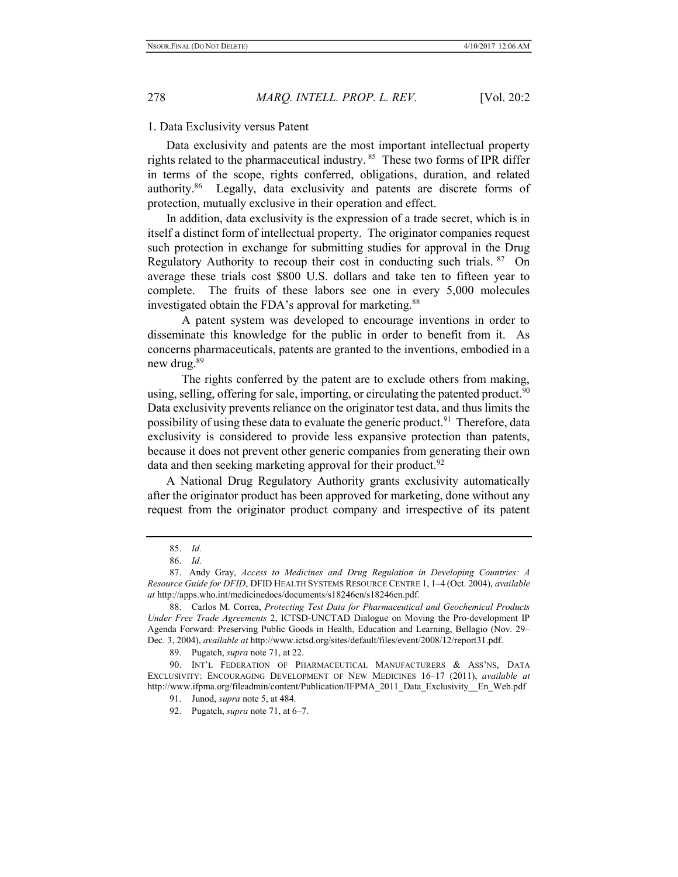#### 1. Data Exclusivity versus Patent

Data exclusivity and patents are the most important intellectual property rights related to the pharmaceutical industry.<sup>85</sup> These two forms of IPR differ in terms of the scope, rights conferred, obligations, duration, and related authority.<sup>86</sup> Legally, data exclusivity and patents are discrete forms of protection, mutually exclusive in their operation and effect.

In addition, data exclusivity is the expression of a trade secret, which is in itself a distinct form of intellectual property. The originator companies request such protection in exchange for submitting studies for approval in the Drug Regulatory Authority to recoup their cost in conducting such trials. 87 On average these trials cost \$800 U.S. dollars and take ten to fifteen year to complete. The fruits of these labors see one in every 5,000 molecules investigated obtain the FDA's approval for marketing.<sup>88</sup>

 A patent system was developed to encourage inventions in order to disseminate this knowledge for the public in order to benefit from it. As concerns pharmaceuticals, patents are granted to the inventions, embodied in a new drug.<sup>89</sup>

 The rights conferred by the patent are to exclude others from making, using, selling, offering for sale, importing, or circulating the patented product. $90$ Data exclusivity prevents reliance on the originator test data, and thus limits the possibility of using these data to evaluate the generic product.<sup>91</sup> Therefore, data exclusivity is considered to provide less expansive protection than patents, because it does not prevent other generic companies from generating their own data and then seeking marketing approval for their product.<sup>92</sup>

A National Drug Regulatory Authority grants exclusivity automatically after the originator product has been approved for marketing, done without any request from the originator product company and irrespective of its patent

<sup>85.</sup> Id.

<sup>86.</sup> Id.

<sup>87.</sup> Andy Gray, Access to Medicines and Drug Regulation in Developing Countries: A Resource Guide for DFID, DFID HEALTH SYSTEMS RESOURCE CENTRE 1, 1–4 (Oct. 2004), available at http://apps.who.int/medicinedocs/documents/s18246en/s18246en.pdf.

<sup>88.</sup> Carlos M. Correa, Protecting Test Data for Pharmaceutical and Geochemical Products Under Free Trade Agreements 2, ICTSD-UNCTAD Dialogue on Moving the Pro-development IP Agenda Forward: Preserving Public Goods in Health, Education and Learning, Bellagio (Nov. 29– Dec. 3, 2004), available at http://www.ictsd.org/sites/default/files/event/2008/12/report31.pdf.

<sup>89.</sup> Pugatch, supra note 71, at 22.

<sup>90.</sup> INT'L FEDERATION OF PHARMACEUTICAL MANUFACTURERS & ASS'NS, DATA EXCLUSIVITY: ENCOURAGING DEVELOPMENT OF NEW MEDICINES 16–17 (2011), available at http://www.ifpma.org/fileadmin/content/Publication/IFPMA\_2011\_Data\_Exclusivity\_\_En\_Web.pdf

<sup>91.</sup> Junod, supra note 5, at 484.

<sup>92.</sup> Pugatch, *supra* note 71, at 6–7.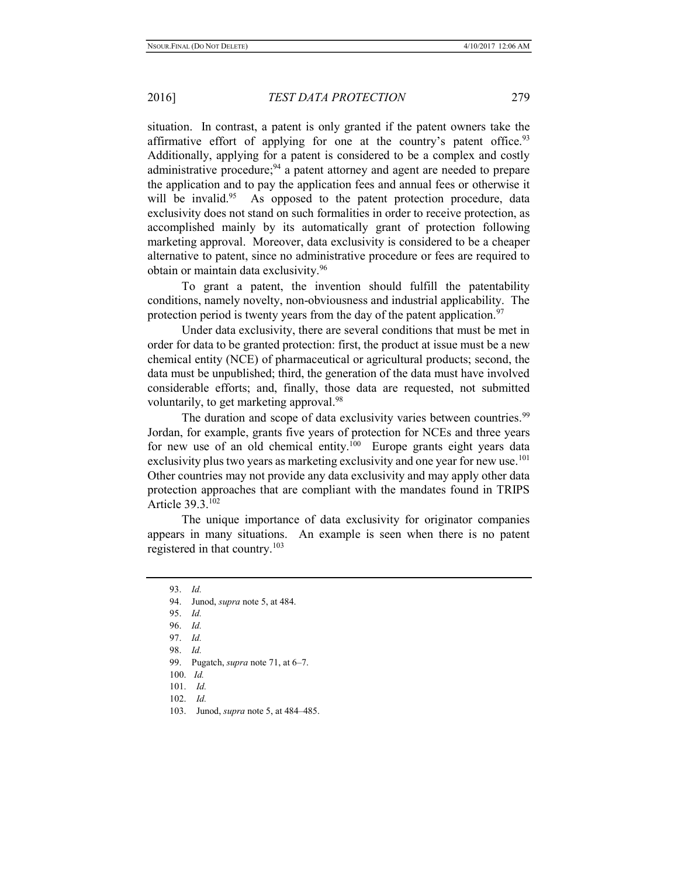situation. In contrast, a patent is only granted if the patent owners take the affirmative effort of applying for one at the country's patent office. $93$ Additionally, applying for a patent is considered to be a complex and costly administrative procedure;<sup>94</sup> a patent attorney and agent are needed to prepare the application and to pay the application fees and annual fees or otherwise it will be invalid.<sup>95</sup> As opposed to the patent protection procedure, data exclusivity does not stand on such formalities in order to receive protection, as accomplished mainly by its automatically grant of protection following marketing approval. Moreover, data exclusivity is considered to be a cheaper alternative to patent, since no administrative procedure or fees are required to obtain or maintain data exclusivity.<sup>96</sup>

 To grant a patent, the invention should fulfill the patentability conditions, namely novelty, non-obviousness and industrial applicability. The protection period is twenty years from the day of the patent application.<sup>97</sup>

 Under data exclusivity, there are several conditions that must be met in order for data to be granted protection: first, the product at issue must be a new chemical entity (NCE) of pharmaceutical or agricultural products; second, the data must be unpublished; third, the generation of the data must have involved considerable efforts; and, finally, those data are requested, not submitted voluntarily, to get marketing approval.<sup>98</sup>

The duration and scope of data exclusivity varies between countries.<sup>99</sup> Jordan, for example, grants five years of protection for NCEs and three years for new use of an old chemical entity.<sup>100</sup> Europe grants eight years data exclusivity plus two years as marketing exclusivity and one year for new use.<sup>101</sup> Other countries may not provide any data exclusivity and may apply other data protection approaches that are compliant with the mandates found in TRIPS Article 39.3.<sup>102</sup>

 The unique importance of data exclusivity for originator companies appears in many situations. An example is seen when there is no patent registered in that country.<sup>103</sup>

- 98. Id.
- 99. Pugatch, *supra* note 71, at 6-7.
- 100. Id.
- 101. Id.
- 102. Id.
- 103. Junod, supra note 5, at 484–485.

<sup>93.</sup> Id.

<sup>94.</sup> Junod, supra note 5, at 484.

<sup>95.</sup> Id.

<sup>96.</sup> Id.

<sup>97.</sup> Id.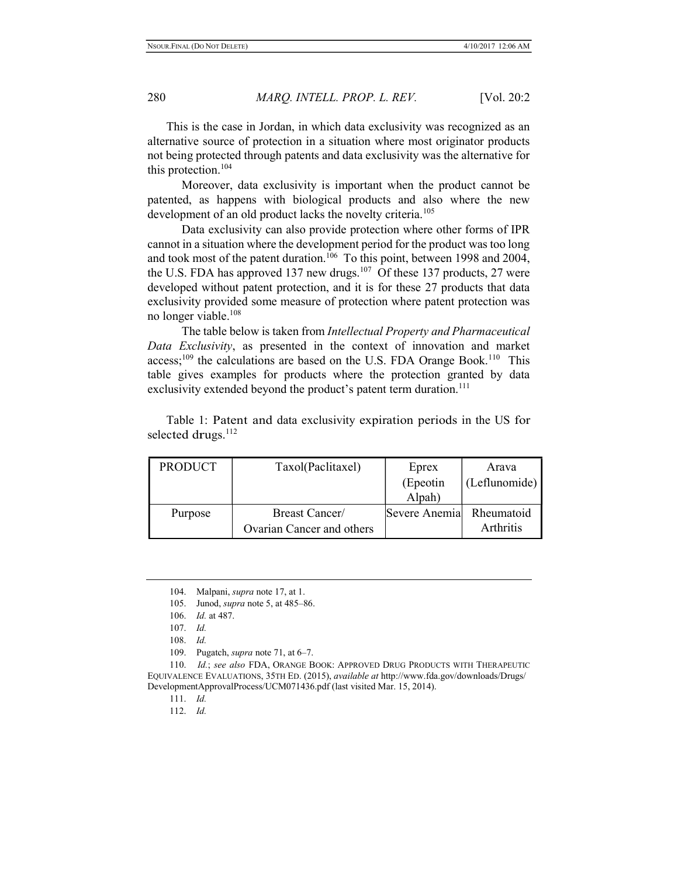This is the case in Jordan, in which data exclusivity was recognized as an alternative source of protection in a situation where most originator products not being protected through patents and data exclusivity was the alternative for this protection.<sup>104</sup>

 Moreover, data exclusivity is important when the product cannot be patented, as happens with biological products and also where the new development of an old product lacks the novelty criteria.<sup>105</sup>

 Data exclusivity can also provide protection where other forms of IPR cannot in a situation where the development period for the product was too long and took most of the patent duration.<sup>106</sup> To this point, between 1998 and 2004, the U.S. FDA has approved 137 new drugs.<sup>107</sup> Of these 137 products, 27 were developed without patent protection, and it is for these 27 products that data exclusivity provided some measure of protection where patent protection was no longer viable.<sup>108</sup>

 The table below is taken from Intellectual Property and Pharmaceutical Data Exclusivity, as presented in the context of innovation and market  $access;^{109}$  the calculations are based on the U.S. FDA Orange Book.<sup>110</sup> This table gives examples for products where the protection granted by data exclusivity extended beyond the product's patent term duration.<sup>111</sup>

| <b>PRODUCT</b> | Taxol(Paclitaxel)         | Eprex                    | Arava         |
|----------------|---------------------------|--------------------------|---------------|
|                |                           | (Epeotin                 | (Leflunomide) |
|                |                           | Alpah)                   |               |
| Purpose        | Breast Cancer/            | Severe Anemia Rheumatoid |               |
|                | Ovarian Cancer and others |                          | Arthritis     |

Table 1: Patent and data exclusivity expiration periods in the US for selected drugs.<sup>112</sup>

109. Pugatch, *supra* note 71, at 6–7.

110. Id.; see also FDA, ORANGE BOOK: APPROVED DRUG PRODUCTS WITH THERAPEUTIC EQUIVALENCE EVALUATIONS, 35TH ED. (2015), available at http://www.fda.gov/downloads/Drugs/ DevelopmentApprovalProcess/UCM071436.pdf (last visited Mar. 15, 2014).

<sup>104.</sup> Malpani, supra note 17, at 1.

<sup>105.</sup> Junod, supra note 5, at 485–86.

<sup>106.</sup> Id. at 487.

<sup>107.</sup> Id.

<sup>108.</sup> Id.

<sup>111.</sup> Id.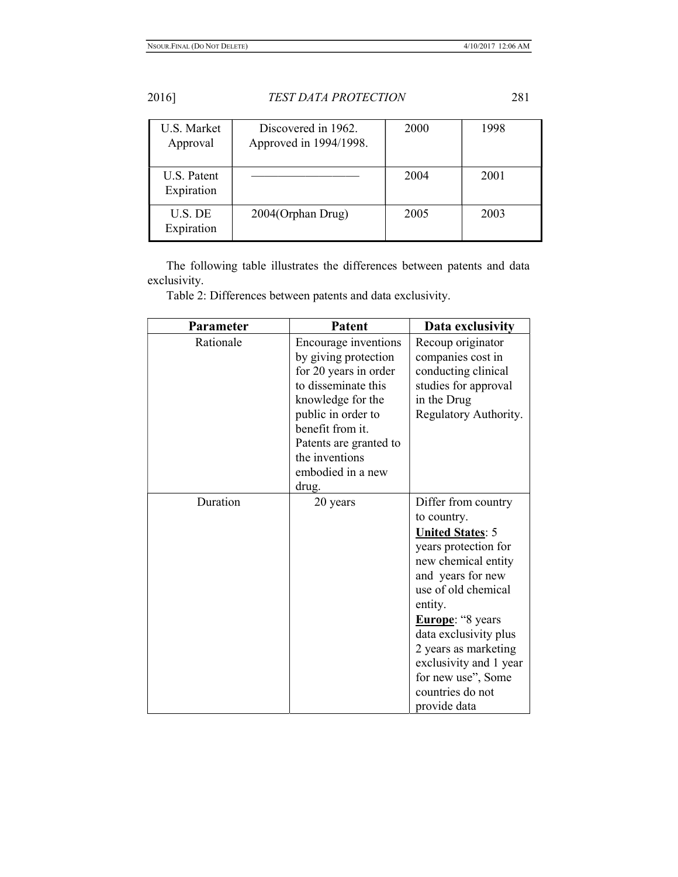| <b>U.S. Market</b><br>Approval | Discovered in 1962.<br>Approved in 1994/1998. | 2000 | 1998 |
|--------------------------------|-----------------------------------------------|------|------|
| U.S. Patent<br>Expiration      |                                               | 2004 | 2001 |
| U.S. DE<br>Expiration          | 2004(Orphan Drug)                             | 2005 | 2003 |

The following table illustrates the differences between patents and data exclusivity.

Table 2: Differences between patents and data exclusivity.

| Parameter | Patent                                                                                                                                                                                                                                | Data exclusivity                                                                                                                                                                                                                                                                                                                    |
|-----------|---------------------------------------------------------------------------------------------------------------------------------------------------------------------------------------------------------------------------------------|-------------------------------------------------------------------------------------------------------------------------------------------------------------------------------------------------------------------------------------------------------------------------------------------------------------------------------------|
| Rationale | Encourage inventions<br>by giving protection<br>for 20 years in order<br>to disseminate this<br>knowledge for the<br>public in order to<br>benefit from it.<br>Patents are granted to<br>the inventions<br>embodied in a new<br>drug. | Recoup originator<br>companies cost in<br>conducting clinical<br>studies for approval<br>in the Drug<br>Regulatory Authority.                                                                                                                                                                                                       |
| Duration  | 20 years                                                                                                                                                                                                                              | Differ from country<br>to country.<br><b>United States: 5</b><br>years protection for<br>new chemical entity<br>and years for new<br>use of old chemical<br>entity.<br><b>Europe:</b> "8 years<br>data exclusivity plus<br>2 years as marketing<br>exclusivity and 1 year<br>for new use", Some<br>countries do not<br>provide data |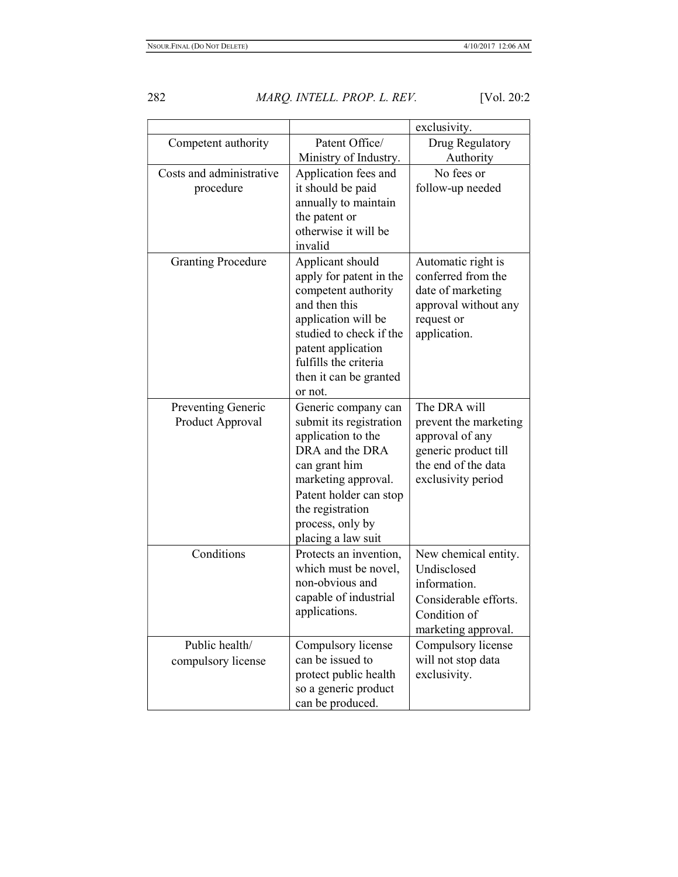|                                        |                                                                                                                                                                                                                                      | exclusivity.                                                                                                                  |
|----------------------------------------|--------------------------------------------------------------------------------------------------------------------------------------------------------------------------------------------------------------------------------------|-------------------------------------------------------------------------------------------------------------------------------|
| Competent authority                    | Patent Office/                                                                                                                                                                                                                       | Drug Regulatory                                                                                                               |
|                                        | Ministry of Industry.                                                                                                                                                                                                                | Authority                                                                                                                     |
| Costs and administrative<br>procedure  | Application fees and<br>it should be paid<br>annually to maintain<br>the patent or<br>otherwise it will be                                                                                                                           | No fees or<br>follow-up needed                                                                                                |
| <b>Granting Procedure</b>              | invalid<br>Applicant should<br>apply for patent in the<br>competent authority<br>and then this<br>application will be<br>studied to check if the<br>patent application<br>fulfills the criteria<br>then it can be granted<br>or not. | Automatic right is<br>conferred from the<br>date of marketing<br>approval without any<br>request or<br>application.           |
| Preventing Generic<br>Product Approval | Generic company can<br>submit its registration<br>application to the<br>DRA and the DRA<br>can grant him<br>marketing approval.<br>Patent holder can stop<br>the registration<br>process, only by<br>placing a law suit              | The DRA will<br>prevent the marketing<br>approval of any<br>generic product till<br>the end of the data<br>exclusivity period |
| Conditions                             | Protects an invention,<br>which must be novel,<br>non-obvious and<br>capable of industrial<br>applications.                                                                                                                          | New chemical entity.<br>Undisclosed<br>information.<br>Considerable efforts.<br>Condition of<br>marketing approval.           |
| Public health/<br>compulsory license   | Compulsory license<br>can be issued to<br>protect public health<br>so a generic product<br>can be produced.                                                                                                                          | Compulsory license<br>will not stop data<br>exclusivity.                                                                      |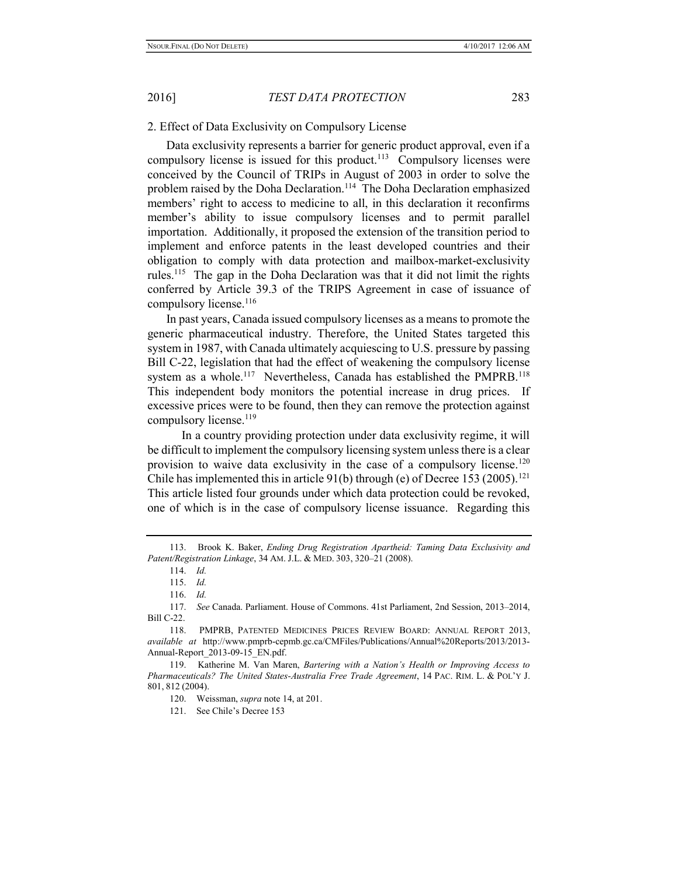#### 2. Effect of Data Exclusivity on Compulsory License

Data exclusivity represents a barrier for generic product approval, even if a compulsory license is issued for this product.<sup>113</sup> Compulsory licenses were conceived by the Council of TRIPs in August of 2003 in order to solve the problem raised by the Doha Declaration.<sup>114</sup> The Doha Declaration emphasized members' right to access to medicine to all, in this declaration it reconfirms member's ability to issue compulsory licenses and to permit parallel importation. Additionally, it proposed the extension of the transition period to implement and enforce patents in the least developed countries and their obligation to comply with data protection and mailbox-market-exclusivity rules.<sup>115</sup> The gap in the Doha Declaration was that it did not limit the rights conferred by Article 39.3 of the TRIPS Agreement in case of issuance of compulsory license.<sup>116</sup>

In past years, Canada issued compulsory licenses as a means to promote the generic pharmaceutical industry. Therefore, the United States targeted this system in 1987, with Canada ultimately acquiescing to U.S. pressure by passing Bill C-22, legislation that had the effect of weakening the compulsory license system as a whole.<sup>117</sup> Nevertheless, Canada has established the PMPRB.<sup>118</sup> This independent body monitors the potential increase in drug prices. If excessive prices were to be found, then they can remove the protection against compulsory license.<sup>119</sup>

 In a country providing protection under data exclusivity regime, it will be difficult to implement the compulsory licensing system unless there is a clear provision to waive data exclusivity in the case of a compulsory license.<sup>120</sup> Chile has implemented this in article  $91(b)$  through (e) of Decree 153 (2005).<sup>121</sup> This article listed four grounds under which data protection could be revoked, one of which is in the case of compulsory license issuance. Regarding this

<sup>113.</sup> Brook K. Baker, Ending Drug Registration Apartheid: Taming Data Exclusivity and Patent/Registration Linkage, 34 AM. J.L. & MED. 303, 320–21 (2008).

<sup>114.</sup> Id.

<sup>115.</sup> Id.

<sup>116.</sup> Id.

<sup>117.</sup> See Canada. Parliament. House of Commons. 41st Parliament, 2nd Session, 2013–2014, Bill C-22.

<sup>118.</sup> PMPRB, PATENTED MEDICINES PRICES REVIEW BOARD: ANNUAL REPORT 2013, available at http://www.pmprb-cepmb.gc.ca/CMFiles/Publications/Annual%20Reports/2013/2013- Annual-Report\_2013-09-15\_EN.pdf.

<sup>119.</sup> Katherine M. Van Maren, Bartering with a Nation's Health or Improving Access to Pharmaceuticals? The United States-Australia Free Trade Agreement, 14 PAC. RIM. L. & POL'Y J. 801, 812 (2004).

<sup>120.</sup> Weissman, supra note 14, at 201.

<sup>121.</sup> See Chile's Decree 153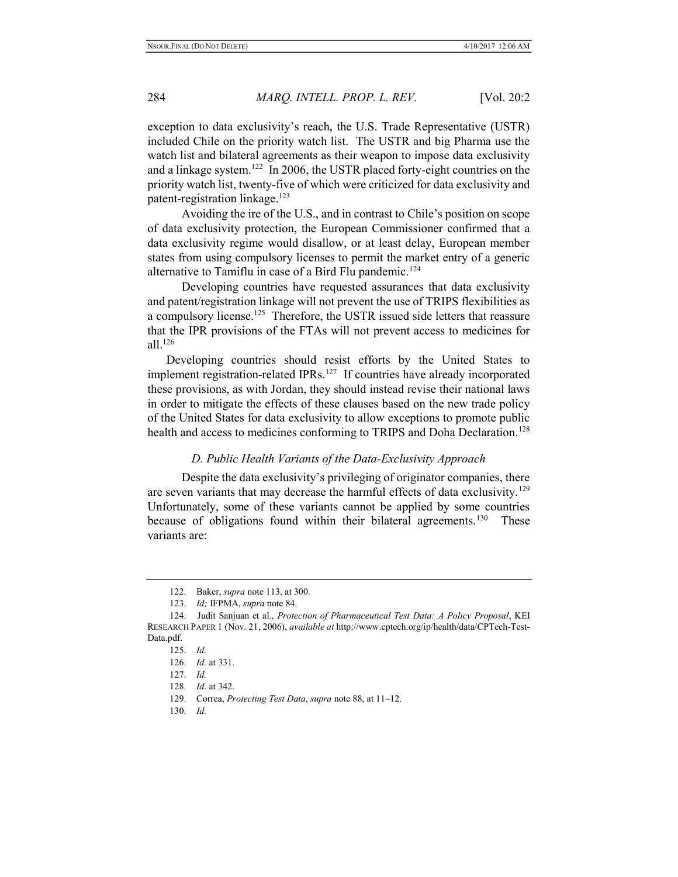exception to data exclusivity's reach, the U.S. Trade Representative (USTR) included Chile on the priority watch list. The USTR and big Pharma use the watch list and bilateral agreements as their weapon to impose data exclusivity and a linkage system.<sup>122</sup> In 2006, the USTR placed forty-eight countries on the priority watch list, twenty-five of which were criticized for data exclusivity and patent-registration linkage.<sup>123</sup>

 Avoiding the ire of the U.S., and in contrast to Chile's position on scope of data exclusivity protection, the European Commissioner confirmed that a data exclusivity regime would disallow, or at least delay, European member states from using compulsory licenses to permit the market entry of a generic alternative to Tamiflu in case of a Bird Flu pandemic.<sup>124</sup>

 Developing countries have requested assurances that data exclusivity and patent/registration linkage will not prevent the use of TRIPS flexibilities as a compulsory license.<sup>125</sup> Therefore, the USTR issued side letters that reassure that the IPR provisions of the FTAs will not prevent access to medicines for all.<sup>126</sup>

Developing countries should resist efforts by the United States to implement registration-related IPRs.<sup>127</sup> If countries have already incorporated these provisions, as with Jordan, they should instead revise their national laws in order to mitigate the effects of these clauses based on the new trade policy of the United States for data exclusivity to allow exceptions to promote public health and access to medicines conforming to TRIPS and Doha Declaration.<sup>128</sup>

# D. Public Health Variants of the Data-Exclusivity Approach

 Despite the data exclusivity's privileging of originator companies, there are seven variants that may decrease the harmful effects of data exclusivity.<sup>129</sup> Unfortunately, some of these variants cannot be applied by some countries because of obligations found within their bilateral agreements.<sup>130</sup> These variants are:

<sup>122.</sup> Baker, supra note 113, at 300.

<sup>123.</sup> Id; IFPMA, supra note 84.

<sup>124.</sup> Judit Sanjuan et al., Protection of Pharmaceutical Test Data: A Policy Proposal, KEI RESEARCH PAPER 1 (Nov. 21, 2006), available at http://www.cptech.org/ip/health/data/CPTech-Test-Data.pdf.

<sup>125.</sup> Id.

<sup>126.</sup> Id. at 331.

<sup>127.</sup> Id.

<sup>128.</sup> Id. at 342.

<sup>129.</sup> Correa, Protecting Test Data, supra note 88, at 11-12.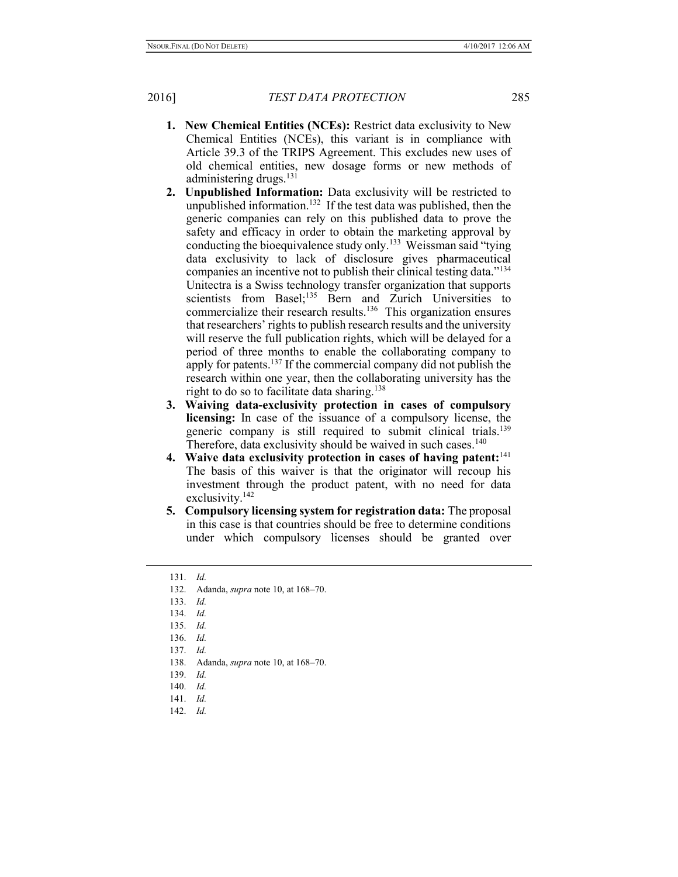- 1. New Chemical Entities (NCEs): Restrict data exclusivity to New Chemical Entities (NCEs), this variant is in compliance with Article 39.3 of the TRIPS Agreement. This excludes new uses of old chemical entities, new dosage forms or new methods of administering drugs. $^{131}$
- 2. Unpublished Information: Data exclusivity will be restricted to unpublished information.<sup>132</sup> If the test data was published, then the generic companies can rely on this published data to prove the safety and efficacy in order to obtain the marketing approval by conducting the bioequivalence study only.<sup>133</sup> Weissman said "tying data exclusivity to lack of disclosure gives pharmaceutical companies an incentive not to publish their clinical testing data."<sup>134</sup> Unitectra is a Swiss technology transfer organization that supports scientists from Basel;<sup>135</sup> Bern and Zurich Universities to commercialize their research results.<sup>136</sup> This organization ensures that researchers' rights to publish research results and the university will reserve the full publication rights, which will be delayed for a period of three months to enable the collaborating company to apply for patents.<sup>137</sup> If the commercial company did not publish the research within one year, then the collaborating university has the right to do so to facilitate data sharing.<sup>138</sup>
- 3. Waiving data-exclusivity protection in cases of compulsory licensing: In case of the issuance of a compulsory license, the generic company is still required to submit clinical trials.<sup>139</sup> Therefore, data exclusivity should be waived in such cases. $140$
- 4. Waive data exclusivity protection in cases of having patent: $141$ The basis of this waiver is that the originator will recoup his investment through the product patent, with no need for data exclusivity.<sup>142</sup>
- 5. Compulsory licensing system for registration data: The proposal in this case is that countries should be free to determine conditions under which compulsory licenses should be granted over

- 138. Adanda, supra note 10, at 168–70.
- 139. Id.
- 140. Id.
- 141. Id.
- 142. Id.

<sup>131.</sup> Id.

<sup>132.</sup> Adanda, supra note 10, at 168–70.

<sup>133.</sup> Id.

<sup>134.</sup> Id.

<sup>135.</sup> Id.

<sup>136.</sup> Id.

<sup>137.</sup> Id.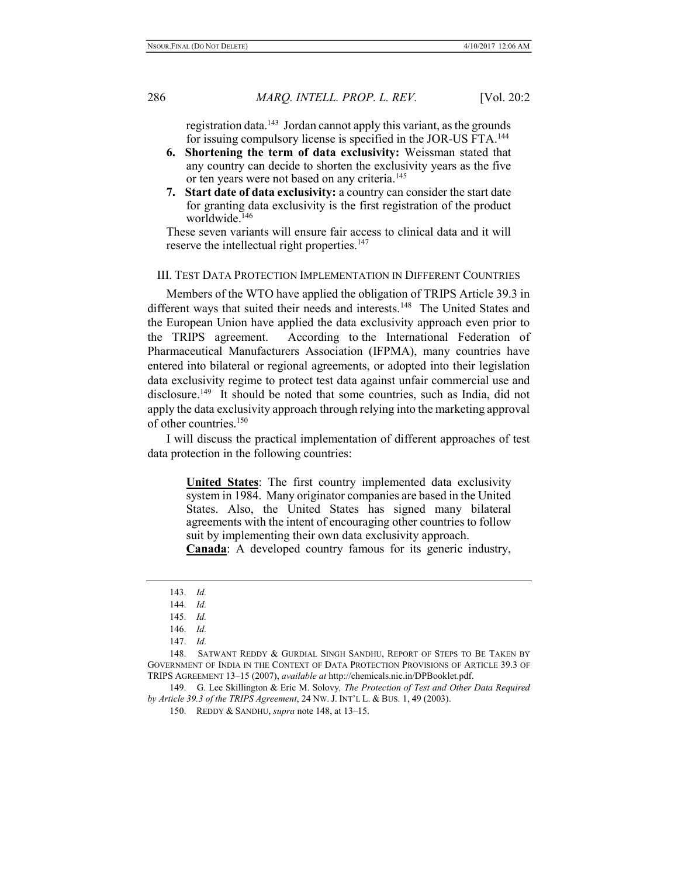registration data.<sup>143</sup> Jordan cannot apply this variant, as the grounds for issuing compulsory license is specified in the JOR-US FTA.<sup>144</sup>

- 6. Shortening the term of data exclusivity: Weissman stated that any country can decide to shorten the exclusivity years as the five or ten years were not based on any criteria.<sup>145</sup>
- 7. Start date of data exclusivity: a country can consider the start date for granting data exclusivity is the first registration of the product worldwide.<sup>146</sup>

These seven variants will ensure fair access to clinical data and it will reserve the intellectual right properties.<sup>147</sup>

# III. TEST DATA PROTECTION IMPLEMENTATION IN DIFFERENT COUNTRIES

Members of the WTO have applied the obligation of TRIPS Article 39.3 in different ways that suited their needs and interests.<sup>148</sup> The United States and the European Union have applied the data exclusivity approach even prior to the TRIPS agreement. According to the International Federation of Pharmaceutical Manufacturers Association (IFPMA), many countries have entered into bilateral or regional agreements, or adopted into their legislation data exclusivity regime to protect test data against unfair commercial use and disclosure.<sup>149</sup> It should be noted that some countries, such as India, did not apply the data exclusivity approach through relying into the marketing approval of other countries.<sup>150</sup>

I will discuss the practical implementation of different approaches of test data protection in the following countries:

United States: The first country implemented data exclusivity system in 1984. Many originator companies are based in the United States. Also, the United States has signed many bilateral agreements with the intent of encouraging other countries to follow suit by implementing their own data exclusivity approach.

Canada: A developed country famous for its generic industry,

149. G. Lee Skillington & Eric M. Solovy, The Protection of Test and Other Data Required by Article 39.3 of the TRIPS Agreement, 24 NW. J. INT'L L. & BUS. 1, 49 (2003).

<sup>143.</sup> Id.

<sup>144.</sup> Id.

<sup>145.</sup> Id.

<sup>146.</sup> Id.

<sup>147.</sup> Id.

<sup>148.</sup> SATWANT REDDY & GURDIAL SINGH SANDHU, REPORT OF STEPS TO BE TAKEN BY GOVERNMENT OF INDIA IN THE CONTEXT OF DATA PROTECTION PROVISIONS OF ARTICLE 39.3 OF TRIPS AGREEMENT 13–15 (2007), available at http://chemicals.nic.in/DPBooklet.pdf.

<sup>150.</sup> REDDY & SANDHU, supra note 148, at 13–15.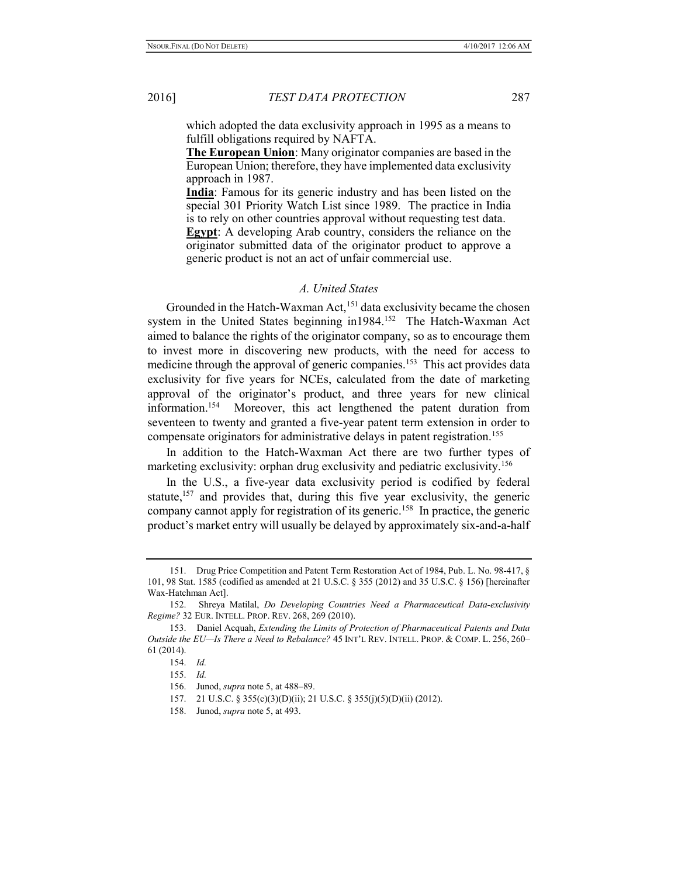which adopted the data exclusivity approach in 1995 as a means to fulfill obligations required by NAFTA.

The European Union: Many originator companies are based in the European Union; therefore, they have implemented data exclusivity approach in 1987.

India: Famous for its generic industry and has been listed on the special 301 Priority Watch List since 1989. The practice in India is to rely on other countries approval without requesting test data. Egypt: A developing Arab country, considers the reliance on the originator submitted data of the originator product to approve a generic product is not an act of unfair commercial use.

## A. United States

Grounded in the Hatch-Waxman Act,<sup>151</sup> data exclusivity became the chosen system in the United States beginning in1984.<sup>152</sup> The Hatch-Waxman Act aimed to balance the rights of the originator company, so as to encourage them to invest more in discovering new products, with the need for access to medicine through the approval of generic companies.<sup>153</sup> This act provides data exclusivity for five years for NCEs, calculated from the date of marketing approval of the originator's product, and three years for new clinical information.<sup>154</sup> Moreover, this act lengthened the patent duration from seventeen to twenty and granted a five-year patent term extension in order to compensate originators for administrative delays in patent registration.<sup>155</sup>

In addition to the Hatch-Waxman Act there are two further types of marketing exclusivity: orphan drug exclusivity and pediatric exclusivity.<sup>156</sup>

In the U.S., a five-year data exclusivity period is codified by federal statute,<sup>157</sup> and provides that, during this five year exclusivity, the generic company cannot apply for registration of its generic.<sup>158</sup> In practice, the generic product's market entry will usually be delayed by approximately six-and-a-half

<sup>151.</sup> Drug Price Competition and Patent Term Restoration Act of 1984, Pub. L. No. 98-417, § 101, 98 Stat. 1585 (codified as amended at 21 U.S.C. § 355 (2012) and 35 U.S.C. § 156) [hereinafter Wax-Hatchman Act].

<sup>152.</sup> Shreya Matilal, Do Developing Countries Need a Pharmaceutical Data-exclusivity Regime? 32 EUR. INTELL. PROP. REV. 268, 269 (2010).

<sup>153.</sup> Daniel Acquah, Extending the Limits of Protection of Pharmaceutical Patents and Data Outside the EU—Is There a Need to Rebalance? 45 INT'L REV. INTELL. PROP. & COMP. L. 256, 260– 61 (2014).

<sup>154.</sup> Id.

<sup>155.</sup> Id.

<sup>156.</sup> Junod, *supra* note 5, at 488–89.

<sup>157. 21</sup> U.S.C. § 355(c)(3)(D)(ii); 21 U.S.C. § 355(j)(5)(D)(ii) (2012).

<sup>158.</sup> Junod, supra note 5, at 493.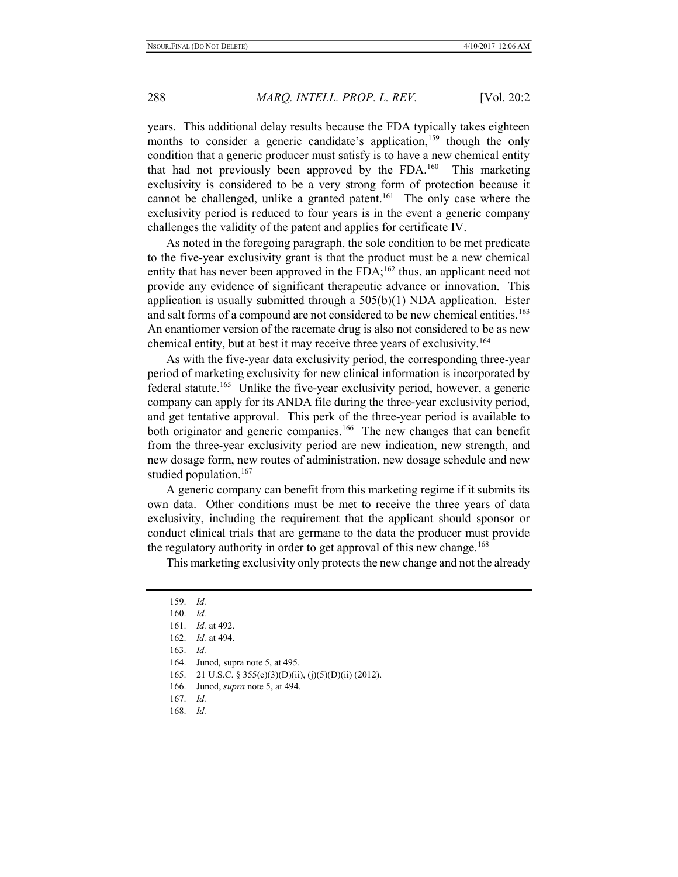years. This additional delay results because the FDA typically takes eighteen months to consider a generic candidate's application,<sup>159</sup> though the only condition that a generic producer must satisfy is to have a new chemical entity that had not previously been approved by the FDA.<sup>160</sup> This marketing exclusivity is considered to be a very strong form of protection because it cannot be challenged, unlike a granted patent.<sup>161</sup> The only case where the exclusivity period is reduced to four years is in the event a generic company challenges the validity of the patent and applies for certificate IV.

As noted in the foregoing paragraph, the sole condition to be met predicate to the five-year exclusivity grant is that the product must be a new chemical entity that has never been approved in the  $FDA$ ;<sup>162</sup> thus, an applicant need not provide any evidence of significant therapeutic advance or innovation. This application is usually submitted through a  $505(b)(1)$  NDA application. Ester and salt forms of a compound are not considered to be new chemical entities.<sup>163</sup> An enantiomer version of the racemate drug is also not considered to be as new chemical entity, but at best it may receive three years of exclusivity.<sup>164</sup>

As with the five-year data exclusivity period, the corresponding three-year period of marketing exclusivity for new clinical information is incorporated by federal statute.<sup>165</sup> Unlike the five-year exclusivity period, however, a generic company can apply for its ANDA file during the three-year exclusivity period, and get tentative approval. This perk of the three-year period is available to both originator and generic companies.<sup>166</sup> The new changes that can benefit from the three-year exclusivity period are new indication, new strength, and new dosage form, new routes of administration, new dosage schedule and new studied population.<sup>167</sup>

A generic company can benefit from this marketing regime if it submits its own data. Other conditions must be met to receive the three years of data exclusivity, including the requirement that the applicant should sponsor or conduct clinical trials that are germane to the data the producer must provide the regulatory authority in order to get approval of this new change.<sup>168</sup>

This marketing exclusivity only protects the new change and not the already

- 165. 21 U.S.C. § 355(c)(3)(D)(ii), (j)(5)(D)(ii) (2012).
- 166. Junod, supra note 5, at 494.
- 167. Id.
- 168. Id.

<sup>159.</sup> Id.

<sup>160.</sup> Id.

<sup>161.</sup> Id. at 492.

<sup>162.</sup> Id. at 494.

<sup>163.</sup> Id.

<sup>164.</sup> Junod, supra note 5, at 495.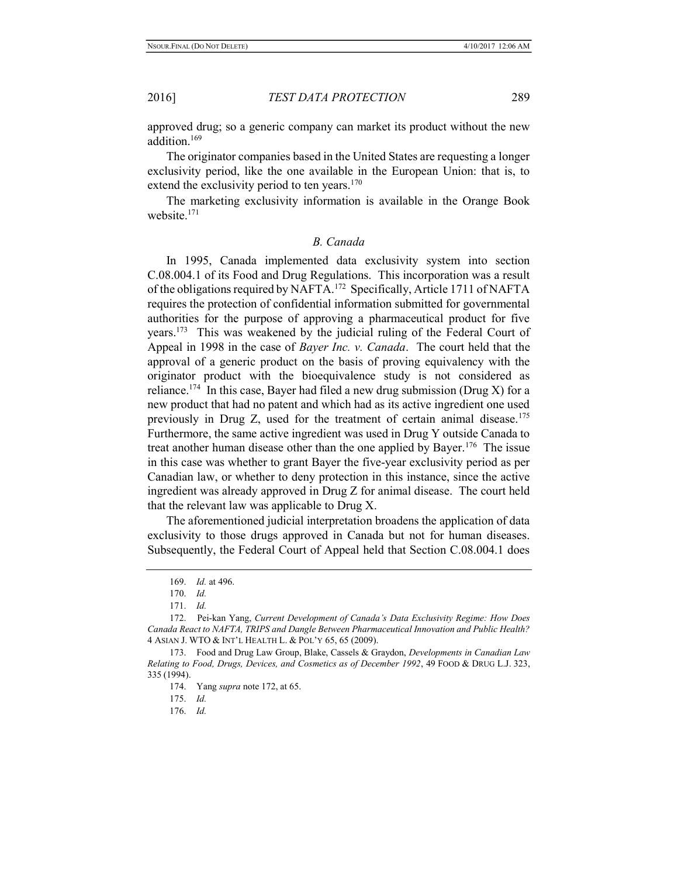approved drug; so a generic company can market its product without the new addition.<sup>169</sup>

The originator companies based in the United States are requesting a longer exclusivity period, like the one available in the European Union: that is, to extend the exclusivity period to ten years.<sup>170</sup>

The marketing exclusivity information is available in the Orange Book website.<sup>171</sup>

## B. Canada

In 1995, Canada implemented data exclusivity system into section C.08.004.1 of its Food and Drug Regulations. This incorporation was a result of the obligations required by NAFTA.<sup>172</sup> Specifically, Article 1711 of NAFTA requires the protection of confidential information submitted for governmental authorities for the purpose of approving a pharmaceutical product for five years.<sup>173</sup> This was weakened by the judicial ruling of the Federal Court of Appeal in 1998 in the case of Bayer Inc. v. Canada. The court held that the approval of a generic product on the basis of proving equivalency with the originator product with the bioequivalence study is not considered as reliance.<sup>174</sup> In this case, Bayer had filed a new drug submission (Drug X) for a new product that had no patent and which had as its active ingredient one used previously in Drug Z, used for the treatment of certain animal disease.<sup>175</sup> Furthermore, the same active ingredient was used in Drug Y outside Canada to treat another human disease other than the one applied by Bayer.<sup>176</sup> The issue in this case was whether to grant Bayer the five-year exclusivity period as per Canadian law, or whether to deny protection in this instance, since the active ingredient was already approved in Drug Z for animal disease. The court held that the relevant law was applicable to Drug X.

The aforementioned judicial interpretation broadens the application of data exclusivity to those drugs approved in Canada but not for human diseases. Subsequently, the Federal Court of Appeal held that Section C.08.004.1 does

<sup>169.</sup> Id. at 496.

<sup>170.</sup> Id.

<sup>171.</sup> Id.

<sup>172.</sup> Pei-kan Yang, Current Development of Canada's Data Exclusivity Regime: How Does Canada React to NAFTA, TRIPS and Dangle Between Pharmaceutical Innovation and Public Health? 4 ASIAN J. WTO & INT'L HEALTH L. & POL'Y 65, 65 (2009).

<sup>173.</sup> Food and Drug Law Group, Blake, Cassels & Graydon, Developments in Canadian Law Relating to Food, Drugs, Devices, and Cosmetics as of December 1992, 49 FOOD & DRUG L.J. 323, 335 (1994).

<sup>174.</sup> Yang supra note 172, at 65.

<sup>175.</sup> Id.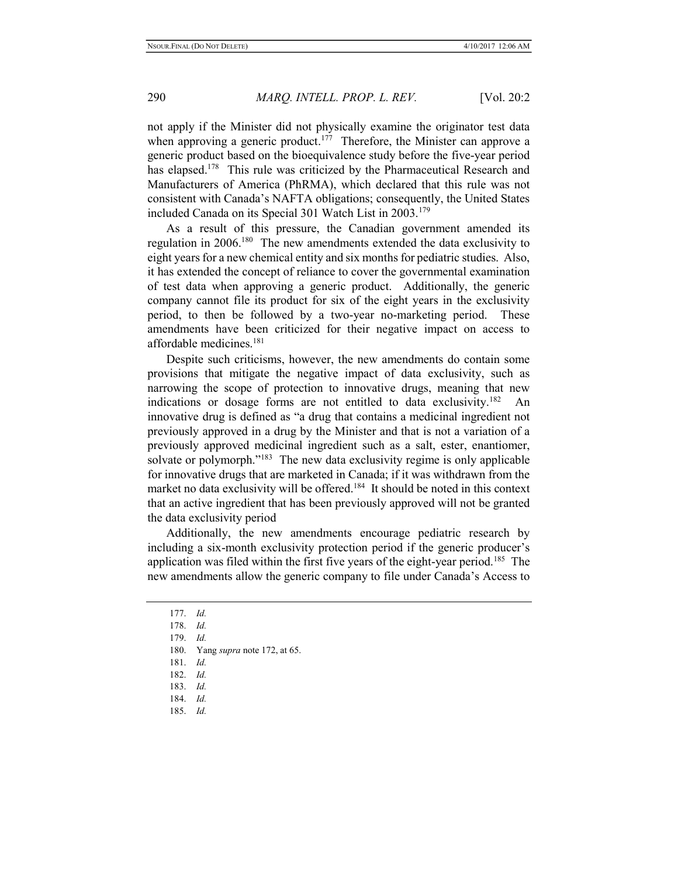not apply if the Minister did not physically examine the originator test data when approving a generic product.<sup>177</sup> Therefore, the Minister can approve a generic product based on the bioequivalence study before the five-year period has elapsed.<sup>178</sup> This rule was criticized by the Pharmaceutical Research and Manufacturers of America (PhRMA), which declared that this rule was not consistent with Canada's NAFTA obligations; consequently, the United States included Canada on its Special 301 Watch List in 2003.<sup>179</sup>

As a result of this pressure, the Canadian government amended its regulation in 2006.<sup>180</sup> The new amendments extended the data exclusivity to eight years for a new chemical entity and six months for pediatric studies. Also, it has extended the concept of reliance to cover the governmental examination of test data when approving a generic product. Additionally, the generic company cannot file its product for six of the eight years in the exclusivity period, to then be followed by a two-year no-marketing period. These amendments have been criticized for their negative impact on access to affordable medicines.<sup>181</sup>

Despite such criticisms, however, the new amendments do contain some provisions that mitigate the negative impact of data exclusivity, such as narrowing the scope of protection to innovative drugs, meaning that new indications or dosage forms are not entitled to data exclusivity.<sup>182</sup> An innovative drug is defined as "a drug that contains a medicinal ingredient not previously approved in a drug by the Minister and that is not a variation of a previously approved medicinal ingredient such as a salt, ester, enantiomer, solvate or polymorph."<sup>183</sup> The new data exclusivity regime is only applicable for innovative drugs that are marketed in Canada; if it was withdrawn from the market no data exclusivity will be offered.<sup>184</sup> It should be noted in this context that an active ingredient that has been previously approved will not be granted the data exclusivity period

Additionally, the new amendments encourage pediatric research by including a six-month exclusivity protection period if the generic producer's application was filed within the first five years of the eight-year period.<sup>185</sup> The new amendments allow the generic company to file under Canada's Access to

183. Id.

<sup>177.</sup> Id.

<sup>178.</sup> Id.

<sup>179.</sup> Id.

<sup>180.</sup> Yang supra note 172, at 65.

<sup>181.</sup> Id.

<sup>182.</sup> Id.

<sup>184.</sup> Id.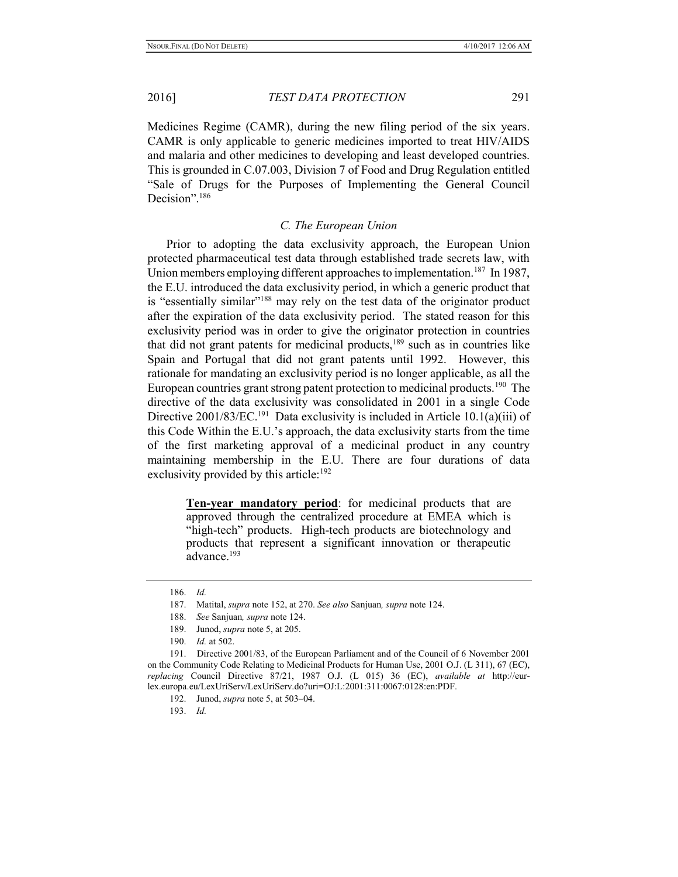Medicines Regime (CAMR), during the new filing period of the six years. CAMR is only applicable to generic medicines imported to treat HIV/AIDS and malaria and other medicines to developing and least developed countries. This is grounded in C.07.003, Division 7 of Food and Drug Regulation entitled "Sale of Drugs for the Purposes of Implementing the General Council Decision".<sup>186</sup>

# C. The European Union

Prior to adopting the data exclusivity approach, the European Union protected pharmaceutical test data through established trade secrets law, with Union members employing different approaches to implementation.<sup>187</sup> In 1987, the E.U. introduced the data exclusivity period, in which a generic product that is "essentially similar"<sup>188</sup> may rely on the test data of the originator product after the expiration of the data exclusivity period. The stated reason for this exclusivity period was in order to give the originator protection in countries that did not grant patents for medicinal products, $189$  such as in countries like Spain and Portugal that did not grant patents until 1992. However, this rationale for mandating an exclusivity period is no longer applicable, as all the European countries grant strong patent protection to medicinal products.<sup>190</sup> The directive of the data exclusivity was consolidated in 2001 in a single Code Directive 2001/83/EC.<sup>191</sup> Data exclusivity is included in Article 10.1(a)(iii) of this Code Within the E.U.'s approach, the data exclusivity starts from the time of the first marketing approval of a medicinal product in any country maintaining membership in the E.U. There are four durations of data exclusivity provided by this article: $192$ 

Ten-year mandatory period: for medicinal products that are approved through the centralized procedure at EMEA which is "high-tech" products. High-tech products are biotechnology and products that represent a significant innovation or therapeutic advance.<sup>193</sup>

<sup>186.</sup> Id.

<sup>187.</sup> Matital, supra note 152, at 270. See also Sanjuan, supra note 124.

<sup>188.</sup> See Sanjuan, supra note 124.

<sup>189.</sup> Junod, supra note 5, at 205.

<sup>190.</sup> Id. at 502.

<sup>191.</sup> Directive 2001/83, of the European Parliament and of the Council of 6 November 2001 on the Community Code Relating to Medicinal Products for Human Use, 2001 O.J. (L 311), 67 (EC), replacing Council Directive  $87/21$ , 1987 O.J. (L 015) 36 (EC), *available at http://eur*lex.europa.eu/LexUriServ/LexUriServ.do?uri=OJ:L:2001:311:0067:0128:en:PDF.

<sup>192.</sup> Junod, supra note 5, at 503–04.

<sup>193.</sup> Id.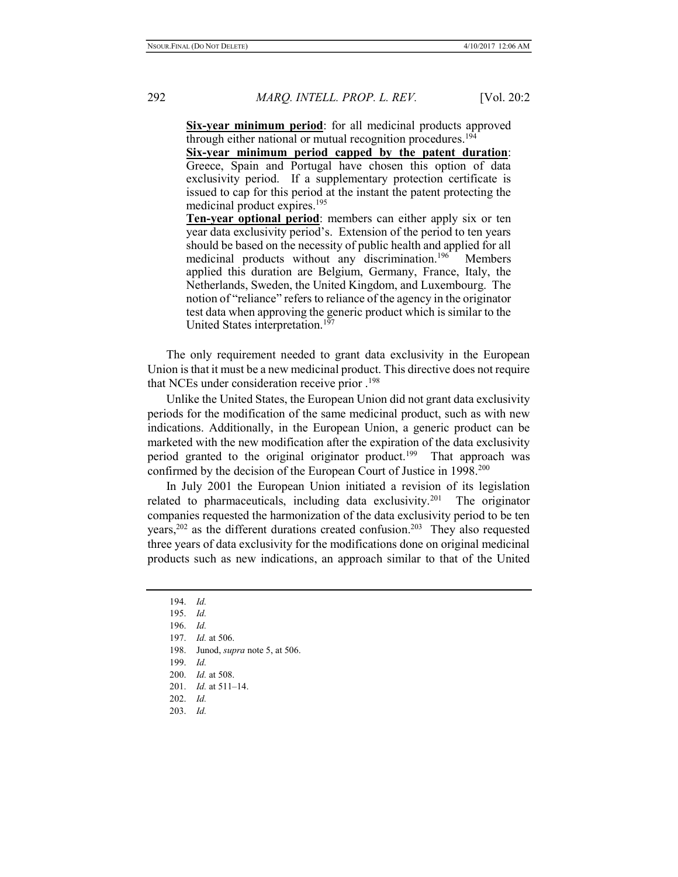Six-year minimum period: for all medicinal products approved through either national or mutual recognition procedures.<sup>194</sup>

Six-year minimum period capped by the patent duration: Greece, Spain and Portugal have chosen this option of data exclusivity period. If a supplementary protection certificate is issued to cap for this period at the instant the patent protecting the medicinal product expires.<sup>195</sup>

Ten-year optional period: members can either apply six or ten year data exclusivity period's. Extension of the period to ten years should be based on the necessity of public health and applied for all medicinal products without any discrimination.<sup>196</sup> Members applied this duration are Belgium, Germany, France, Italy, the Netherlands, Sweden, the United Kingdom, and Luxembourg. The notion of "reliance" refers to reliance of the agency in the originator test data when approving the generic product which is similar to the United States interpretation.<sup>197</sup>

The only requirement needed to grant data exclusivity in the European Union is that it must be a new medicinal product. This directive does not require that NCEs under consideration receive prior .<sup>198</sup>

Unlike the United States, the European Union did not grant data exclusivity periods for the modification of the same medicinal product, such as with new indications. Additionally, in the European Union, a generic product can be marketed with the new modification after the expiration of the data exclusivity period granted to the original originator product.<sup>199</sup> That approach was confirmed by the decision of the European Court of Justice in 1998.<sup>200</sup>

In July 2001 the European Union initiated a revision of its legislation related to pharmaceuticals, including data exclusivity.<sup>201</sup> The originator companies requested the harmonization of the data exclusivity period to be ten years, $202$  as the different durations created confusion.<sup>203</sup> They also requested three years of data exclusivity for the modifications done on original medicinal products such as new indications, an approach similar to that of the United

198. Junod, supra note 5, at 506.

<sup>194.</sup> Id.

<sup>195.</sup> Id.

<sup>196.</sup> Id.

<sup>197.</sup> Id. at 506.

<sup>199.</sup> Id.

<sup>200.</sup> Id. at 508.

<sup>201.</sup> Id. at 511–14.

<sup>202.</sup> Id.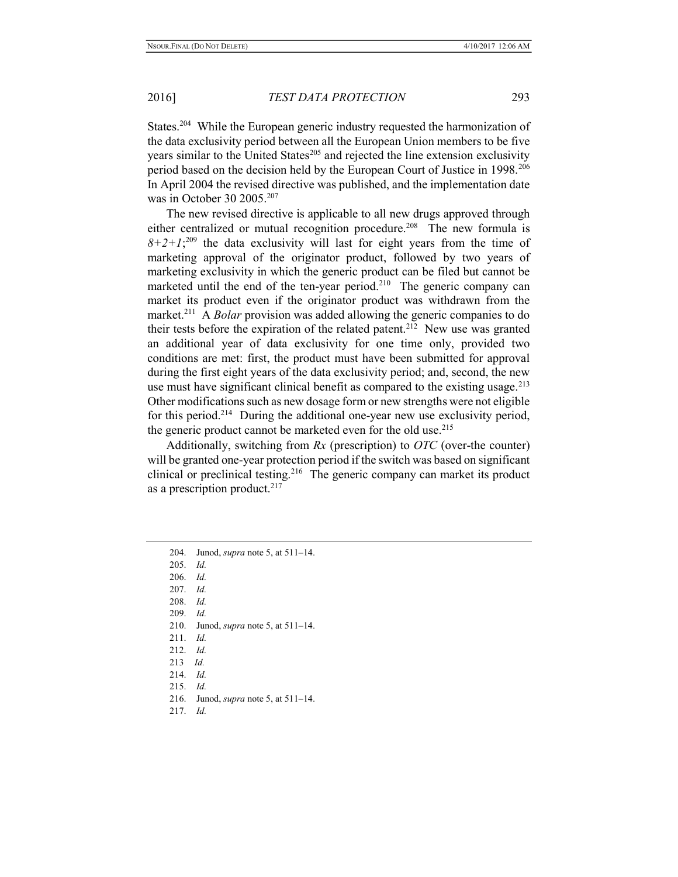States.<sup>204</sup> While the European generic industry requested the harmonization of the data exclusivity period between all the European Union members to be five years similar to the United States $^{205}$  and rejected the line extension exclusivity period based on the decision held by the European Court of Justice in 1998.<sup>206</sup> In April 2004 the revised directive was published, and the implementation date was in October 30 2005.<sup>207</sup>

The new revised directive is applicable to all new drugs approved through either centralized or mutual recognition procedure.<sup>208</sup> The new formula is  $8+2+1;^{209}$  the data exclusivity will last for eight years from the time of marketing approval of the originator product, followed by two years of marketing exclusivity in which the generic product can be filed but cannot be marketed until the end of the ten-year period.<sup>210</sup> The generic company can market its product even if the originator product was withdrawn from the market.<sup>211</sup> A *Bolar* provision was added allowing the generic companies to do their tests before the expiration of the related patent.<sup>212</sup> New use was granted an additional year of data exclusivity for one time only, provided two conditions are met: first, the product must have been submitted for approval during the first eight years of the data exclusivity period; and, second, the new use must have significant clinical benefit as compared to the existing usage.<sup>213</sup> Other modifications such as new dosage form or new strengths were not eligible for this period.<sup>214</sup> During the additional one-year new use exclusivity period, the generic product cannot be marketed even for the old use.<sup>215</sup>

Additionally, switching from  $Rx$  (prescription) to  $OTC$  (over-the counter) will be granted one-year protection period if the switch was based on significant clinical or preclinical testing.<sup>216</sup> The generic company can market its product as a prescription product.<sup>217</sup>

- 209. Id.
- 210. Junod, supra note 5, at 511–14.
- 211. Id.
- 212. Id.
- 213 Id.
- 214. Id.
- 215. Id.
- 216. Junod, supra note 5, at 511–14.
- 217. Id.

<sup>204.</sup> Junod, *supra* note 5, at 511–14.

<sup>205.</sup> Id.

<sup>206.</sup> Id.

<sup>207.</sup> Id.

<sup>208.</sup> Id.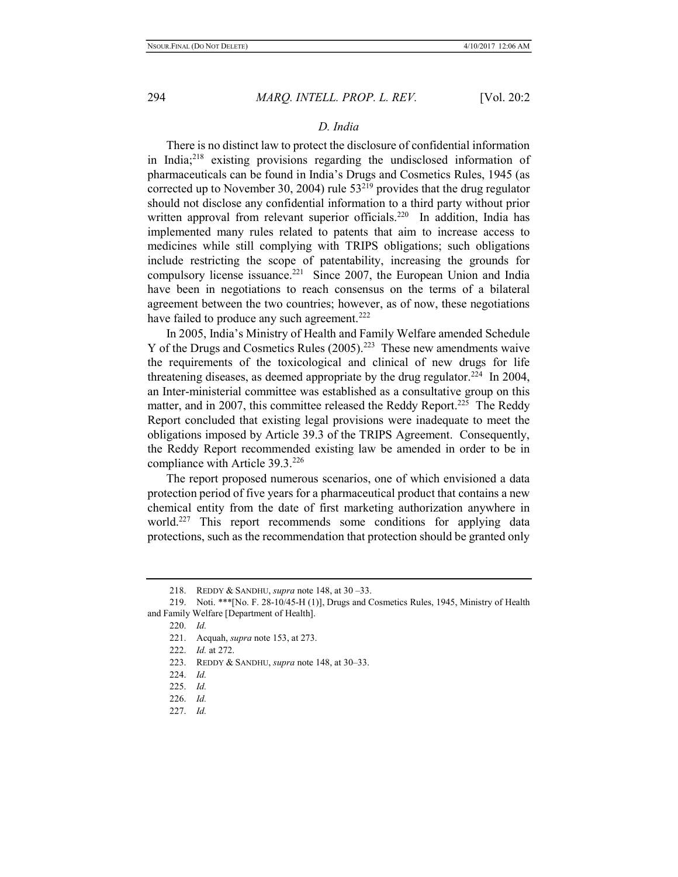# D. India

There is no distinct law to protect the disclosure of confidential information in India;<sup>218</sup> existing provisions regarding the undisclosed information of pharmaceuticals can be found in India's Drugs and Cosmetics Rules, 1945 (as corrected up to November 30, 2004) rule  $53^{219}$  provides that the drug regulator should not disclose any confidential information to a third party without prior written approval from relevant superior officials.<sup>220</sup> In addition, India has implemented many rules related to patents that aim to increase access to medicines while still complying with TRIPS obligations; such obligations include restricting the scope of patentability, increasing the grounds for compulsory license issuance.<sup>221</sup> Since 2007, the European Union and India have been in negotiations to reach consensus on the terms of a bilateral agreement between the two countries; however, as of now, these negotiations have failed to produce any such agreement.<sup>222</sup>

In 2005, India's Ministry of Health and Family Welfare amended Schedule Y of the Drugs and Cosmetics Rules  $(2005)$ .<sup>223</sup> These new amendments waive the requirements of the toxicological and clinical of new drugs for life threatening diseases, as deemed appropriate by the drug regulator.<sup>224</sup> In 2004, an Inter-ministerial committee was established as a consultative group on this matter, and in 2007, this committee released the Reddy Report.<sup>225</sup> The Reddy Report concluded that existing legal provisions were inadequate to meet the obligations imposed by Article 39.3 of the TRIPS Agreement. Consequently, the Reddy Report recommended existing law be amended in order to be in compliance with Article 39.3.<sup>226</sup>

The report proposed numerous scenarios, one of which envisioned a data protection period of five years for a pharmaceutical product that contains a new chemical entity from the date of first marketing authorization anywhere in world.<sup>227</sup> This report recommends some conditions for applying data protections, such as the recommendation that protection should be granted only

<sup>218.</sup> REDDY & SANDHU, *supra* note 148, at 30 -33.

<sup>219.</sup> Noti. \*\*\*[No. F. 28-10/45-H (1)], Drugs and Cosmetics Rules, 1945, Ministry of Health and Family Welfare [Department of Health].

<sup>220.</sup> Id.

<sup>221.</sup> Acquah, supra note 153, at 273.

<sup>222.</sup> Id. at 272.

<sup>223.</sup> REDDY & SANDHU, supra note 148, at 30-33.

<sup>224.</sup> Id.

<sup>225.</sup> Id.

<sup>226.</sup> Id.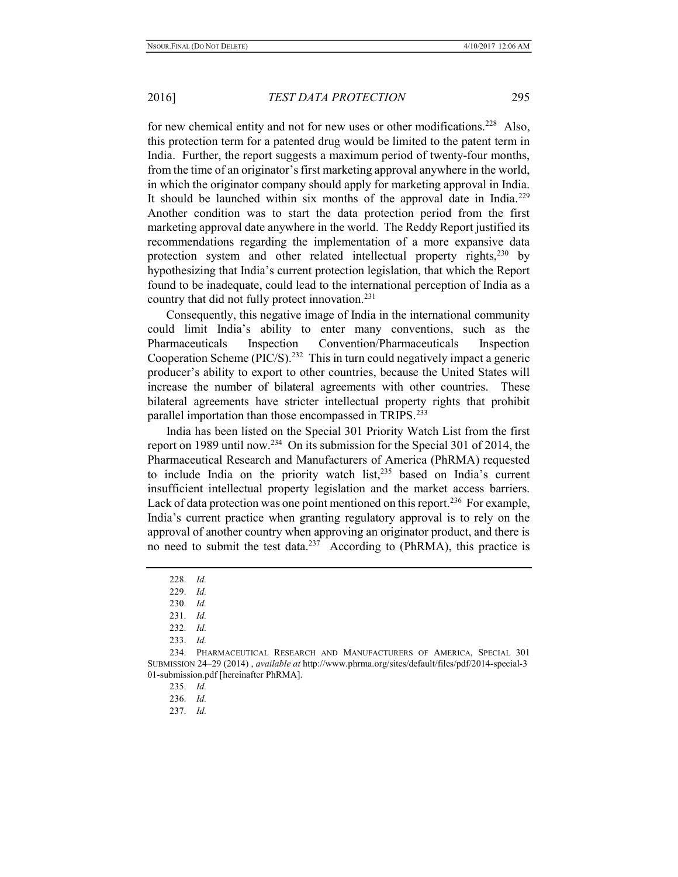for new chemical entity and not for new uses or other modifications.<sup>228</sup> Also, this protection term for a patented drug would be limited to the patent term in India. Further, the report suggests a maximum period of twenty-four months, from the time of an originator's first marketing approval anywhere in the world, in which the originator company should apply for marketing approval in India. It should be launched within six months of the approval date in India.<sup>229</sup> Another condition was to start the data protection period from the first marketing approval date anywhere in the world. The Reddy Report justified its recommendations regarding the implementation of a more expansive data protection system and other related intellectual property rights, $230$  by hypothesizing that India's current protection legislation, that which the Report found to be inadequate, could lead to the international perception of India as a country that did not fully protect innovation.<sup>231</sup>

Consequently, this negative image of India in the international community could limit India's ability to enter many conventions, such as the Pharmaceuticals Inspection Convention/Pharmaceuticals Inspection Cooperation Scheme ( $\text{PIC/S}$ ).<sup>232</sup> This in turn could negatively impact a generic producer's ability to export to other countries, because the United States will increase the number of bilateral agreements with other countries. These bilateral agreements have stricter intellectual property rights that prohibit parallel importation than those encompassed in TRIPS.<sup>233</sup>

India has been listed on the Special 301 Priority Watch List from the first report on 1989 until now.<sup>234</sup> On its submission for the Special 301 of 2014, the Pharmaceutical Research and Manufacturers of America (PhRMA) requested to include India on the priority watch list, $235$  based on India's current insufficient intellectual property legislation and the market access barriers. Lack of data protection was one point mentioned on this report.<sup>236</sup> For example, India's current practice when granting regulatory approval is to rely on the approval of another country when approving an originator product, and there is no need to submit the test data.<sup>237</sup> According to (PhRMA), this practice is

233. Id.

<sup>228.</sup> Id.

<sup>229.</sup> Id.

<sup>230.</sup> Id.

<sup>231.</sup> Id.

<sup>232.</sup> Id.

<sup>234.</sup> PHARMACEUTICAL RESEARCH AND MANUFACTURERS OF AMERICA, SPECIAL 301 SUBMISSION 24–29 (2014) , available at http://www.phrma.org/sites/default/files/pdf/2014-special-3 01-submission.pdf [hereinafter PhRMA].

<sup>235.</sup> Id.

<sup>236.</sup> Id.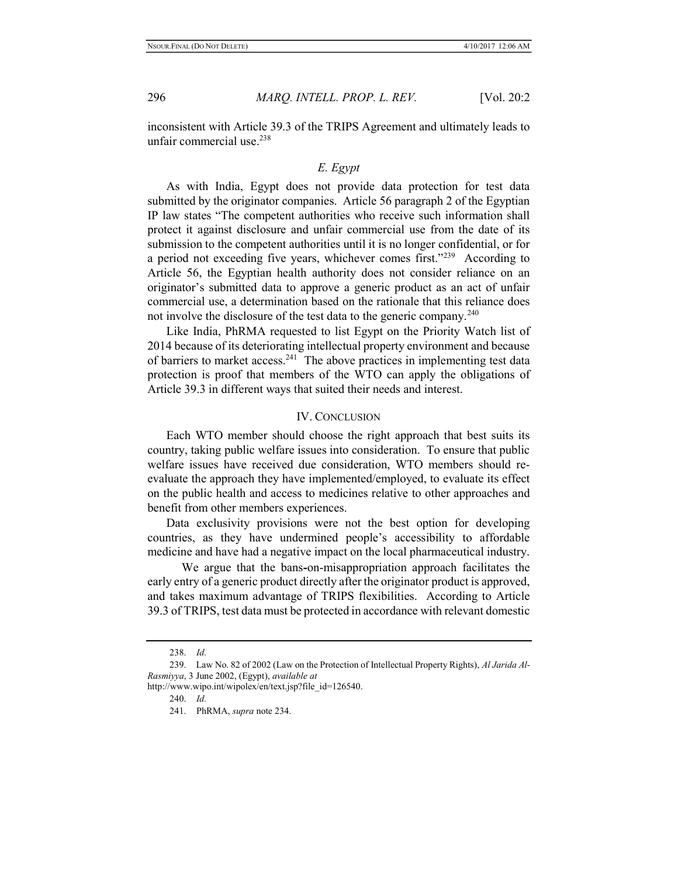inconsistent with Article 39.3 of the TRIPS Agreement and ultimately leads to unfair commercial use.<sup>238</sup>

# E. Egypt

As with India, Egypt does not provide data protection for test data submitted by the originator companies. Article 56 paragraph 2 of the Egyptian IP law states "The competent authorities who receive such information shall protect it against disclosure and unfair commercial use from the date of its submission to the competent authorities until it is no longer confidential, or for a period not exceeding five years, whichever comes first."<sup>239</sup> According to Article 56, the Egyptian health authority does not consider reliance on an originator's submitted data to approve a generic product as an act of unfair commercial use, a determination based on the rationale that this reliance does not involve the disclosure of the test data to the generic company.<sup>240</sup>

Like India, PhRMA requested to list Egypt on the Priority Watch list of 2014 because of its deteriorating intellectual property environment and because of barriers to market access.<sup>241</sup> The above practices in implementing test data protection is proof that members of the WTO can apply the obligations of Article 39.3 in different ways that suited their needs and interest.

## IV. CONCLUSION

Each WTO member should choose the right approach that best suits its country, taking public welfare issues into consideration. To ensure that public welfare issues have received due consideration, WTO members should reevaluate the approach they have implemented/employed, to evaluate its effect on the public health and access to medicines relative to other approaches and benefit from other members experiences.

Data exclusivity provisions were not the best option for developing countries, as they have undermined people's accessibility to affordable medicine and have had a negative impact on the local pharmaceutical industry.

 We argue that the bans-on-misappropriation approach facilitates the early entry of a generic product directly after the originator product is approved, and takes maximum advantage of TRIPS flexibilities. According to Article 39.3 of TRIPS, test data must be protected in accordance with relevant domestic

<sup>238.</sup> Id.

<sup>239.</sup> Law No. 82 of 2002 (Law on the Protection of Intellectual Property Rights), Al Jarida Al-Rasmiyya, 3 June 2002, (Egypt), available at

http://www.wipo.int/wipolex/en/text.jsp?file\_id=126540.

<sup>240.</sup> Id.

<sup>241.</sup> PhRMA, supra note 234.